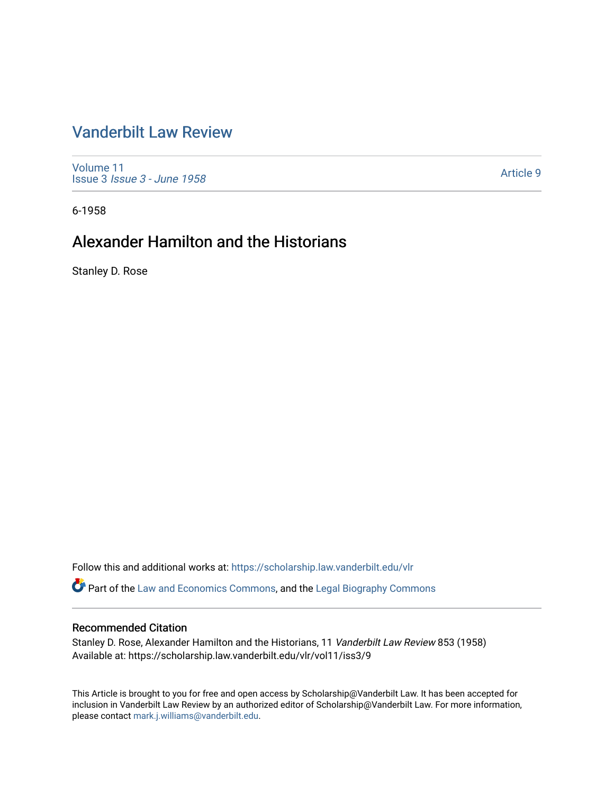## [Vanderbilt Law Review](https://scholarship.law.vanderbilt.edu/vlr)

[Volume 11](https://scholarship.law.vanderbilt.edu/vlr/vol11) Issue 3 [Issue 3 - June 1958](https://scholarship.law.vanderbilt.edu/vlr/vol11/iss3) 

[Article 9](https://scholarship.law.vanderbilt.edu/vlr/vol11/iss3/9) 

6-1958

# Alexander Hamilton and the Historians

Stanley D. Rose

Follow this and additional works at: [https://scholarship.law.vanderbilt.edu/vlr](https://scholarship.law.vanderbilt.edu/vlr?utm_source=scholarship.law.vanderbilt.edu%2Fvlr%2Fvol11%2Fiss3%2F9&utm_medium=PDF&utm_campaign=PDFCoverPages)

Part of the [Law and Economics Commons](http://network.bepress.com/hgg/discipline/612?utm_source=scholarship.law.vanderbilt.edu%2Fvlr%2Fvol11%2Fiss3%2F9&utm_medium=PDF&utm_campaign=PDFCoverPages), and the [Legal Biography Commons](http://network.bepress.com/hgg/discipline/834?utm_source=scholarship.law.vanderbilt.edu%2Fvlr%2Fvol11%2Fiss3%2F9&utm_medium=PDF&utm_campaign=PDFCoverPages) 

## Recommended Citation

Stanley D. Rose, Alexander Hamilton and the Historians, 11 Vanderbilt Law Review 853 (1958) Available at: https://scholarship.law.vanderbilt.edu/vlr/vol11/iss3/9

This Article is brought to you for free and open access by Scholarship@Vanderbilt Law. It has been accepted for inclusion in Vanderbilt Law Review by an authorized editor of Scholarship@Vanderbilt Law. For more information, please contact [mark.j.williams@vanderbilt.edu.](mailto:mark.j.williams@vanderbilt.edu)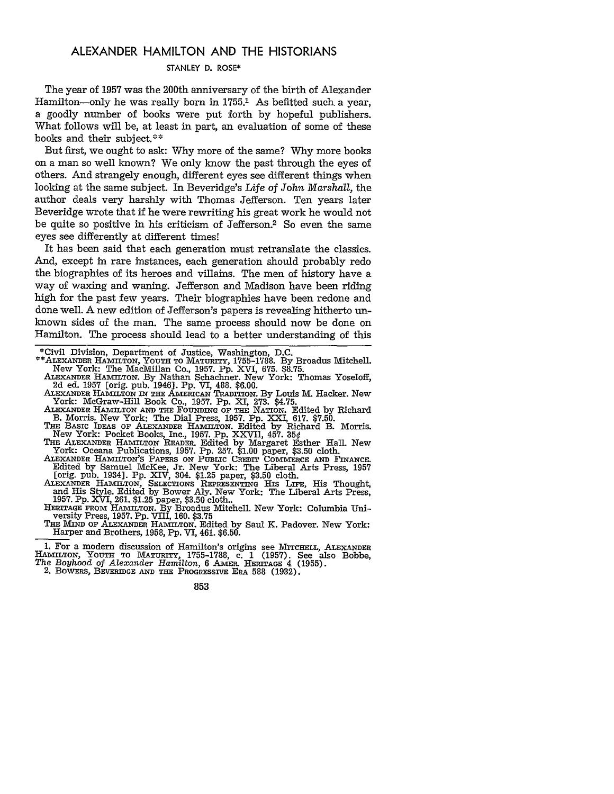## ALEXANDER **HAMILTON AND** THE **HISTORIANS**

#### STANLEY **D.** ROSE\*

The year of **1957** was the 200th anniversary of the birth of Alexander Hamilton-only he was really born in **1755.1** As befitted such a year, a goodly number of books were put forth by hopeful publishers. What follows will be, at least in part, an evaluation of some of these books and their subject.\*\*

But first, we ought to ask: Why more of the same? Why more books on a man so well known? We only know the past through the eyes of others. And strangely enough, different eyes see different things when looking at the same subject. In Beveridge's *Life of John Marshall,* the author deals very harshly with Thomas Jefferson. Ten years later Beveridge wrote that if he were rewriting his great work he would not be quite so positive in his criticism of Jefferson.<sup>2</sup> So even the same eyes see differently at different times!

It has been said that each generation must retranslate the classics. And, except in rare instances, each generation should probably redo the biographies of its heroes and villains. The men of history have a way of waxing and waning. Jefferson and Madison have been riding high for the past few years. Their biographies have been redone and done well. A new edition of Jefferson's papers is revealing hitherto unknown sides of the man. The same process should now be done on Hamilton. The process should lead to a better understanding of this

- \*\*ALEXANDER HAMILTON, **YOUTH TO** MATURITY, **1755-1788.** By Broadus Mitchell. New York: The MacMillan Co., 1957. Pp. XVI, 675. \$8.75.
- **ALEXANDER** HAMILTON. **By** Nathan Schachner. New York: Thomas Yoseloff, 2d ed. 1957 [orig. pub. 1946]. Pp. VI, 488. \$6.00.
- ALEXANDER HAMILTON **IN THE** AMERICAN TRADITION. By Louis M. Hacker. New York: McGraw-Hill Book Co., 1957. Pp. XI, 273. \$4.75.
- ALEXANDER HAMILTON AND THE FOUNDING OF THE NATION. Edited by Richard<br>B. Morris. New York: The Dial Press, 1957. Pp. XXI, 617. \$7.50.<br>THE BASIC IDEAS OF ALEXANDER HAMILTON. Edited by Richard B. Morris.
- New York: Pocket Books, Inc., **1957.** Pp. XXVII, 457. **350**

THE ALEXANDER HAMILTON READER. Edited by Margaret Esther Hall. New

York: Oceana Publications, 1957. Pp. 257. \$1.00 paper, \$3.50 cloth.<br>ALEXANDER HAMILTON'S PAPERS ON PUBLIC CREDIT COMMERCE AND FINANCE.<br>Edited by Samuel McKee, Jr. New York: The Liberal Arts Press, 1957 [orig. pub. 1934]. Pp. XIV, 304. \$1.25 paper, \$3.50 cloth.

ALEXANDER HAMILTON, SELECTIONS REPRESENTING His LIFE, His Thought, and His Style. Edited by Bower Aly. New York: The Liberal Arts Press, **1957.** Pp. XVI, 261. \$1.25 paper, \$3.50 cloth..

HERITAGE FROM HAMILTON. By Broadus Mitchell. New York: Columbia Uni- versity Press, 1957. Pp. VIII, 160. \$3.75

THE Mnm OF ALEXANDER HAMILTON. Edited **by** Saul K. Padover. New York: Harper and Brothers, 1958, Pp. VI, 461. \$6.50.

**1.** For a modern discussion of Hamilton's origins see **MITCHELL,** ALEXANDER HAMILTON, YOUTH TO MATURITY, 1755-1788, c. 1 (1957). See also Bobbe, *The Boyhood of Alexander Hamilton*, 6 AMER. HERITAGE 4 (1955). 2. BOWERS, BEVERIDGE AND THE PROGRESSIVE ERA 588 (1932).

<sup>\*</sup>Civil Division, Department of Justice, Washington, D.C.

<sup>853</sup>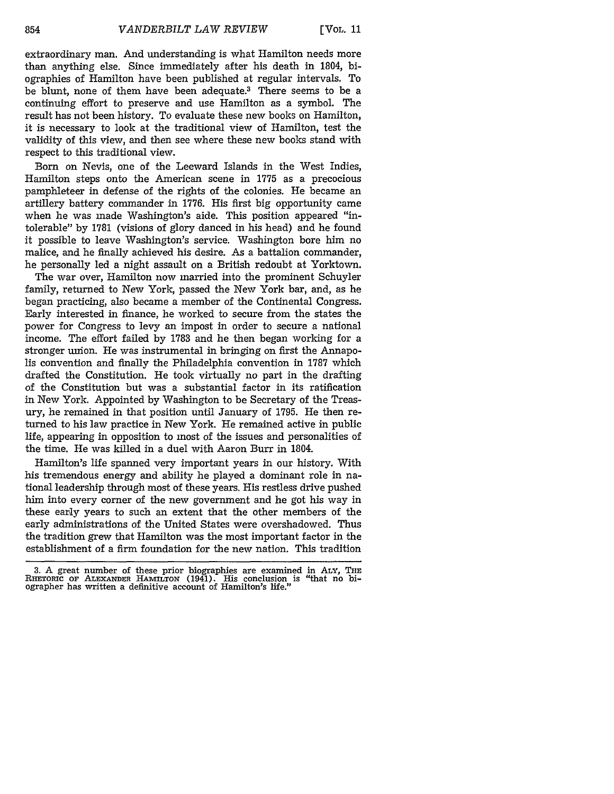extraordinary man. And understanding is what Hamilton needs more than anything else. Since immediately after his death in 1804, biographies of Hamilton have been published at regular intervals. To be blunt, none of them have been adequate.3 There seems to be a continuing effort to preserve and use Hamilton as a symbol. The result has not been history. To evaluate these new books on Hamilton, it is necessary to look at the traditional view of Hamilton, test the validity of this view, and then see where these new books stand with respect to this traditional view.

Born on Nevis, one of the Leeward Islands in the West Indies, Hamilton steps onto the American scene in 1775 as a precocious pamphleteer in defense of the rights of the colonies. He became an artillery battery commander in 1776. His first big opportunity came when he was made Washington's aide. This position appeared "intolerable" by 1781 (visions of glory danced in his head) and he found it possible to leave Washington's service. Washington bore him no malice, and he finally achieved his desire. As a battalion commander, he personally led a night assault on a British redoubt at Yorktown.

The war over, Hamilton now married into the prominent Schuyler family, returned to New York, passed the New York bar, and, as he began practicing, also became a member of the Continental Congress. Early interested in finance, he worked to secure from the states the power for Congress to levy an impost in order to secure a national income. The effort failed by 1783 and he then began working for a stronger union. He was instrumental in bringing on first the Annapolis convention and finally the Philadelphia convention in 1787 which drafted the Constitution. He took virtually no part in the drafting of the Constitution but was a substantial factor in its ratification in New York. Appointed by Washington to be Secretary of the Treasury, he remained in that position until January of 1795. He then returned to his law practice in New York. He remained active in public life, appearing in opposition to most of the issues and personalities of the time. He was killed in a duel with Aaron Burr in 1804.

Hamilton's life spanned very important years in our history. With his tremendous energy and ability he played a dominant role in national leadership through most of these years. His restless drive pushed him into every corner of the new government and he got his way in these early years to such an extent that the other members of the early administrations of the United States were overshadowed. Thus the tradition grew that Hamilton was the most important factor in the establishment of a firm foundation for the new nation. This tradition

<sup>3.</sup> A great number of these prior biographies are examined in ALY, **THE** RHETORIC OF ALEXANDER HAMILTON (1941). His conclusion is "that no bi-<br>ographer has written a definitive account of Hamilton's life."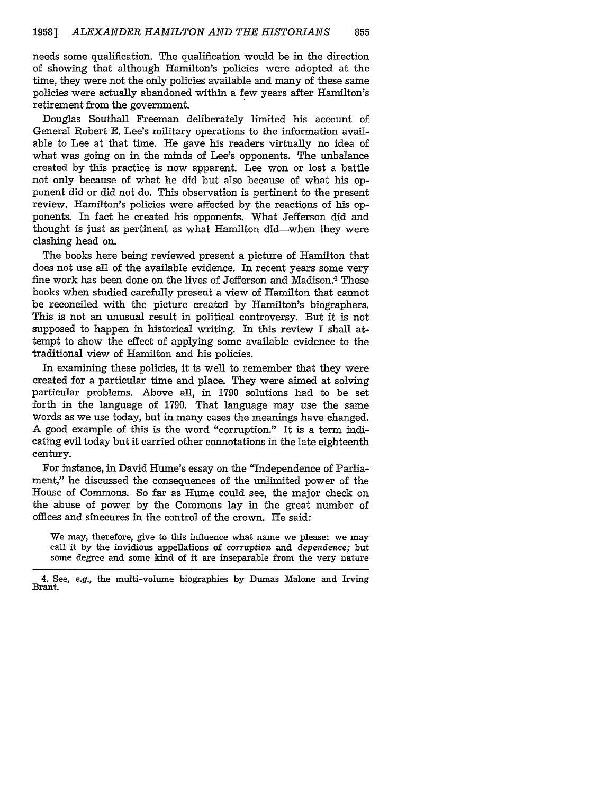needs some qualification. The qualification would be in the direction of showing that although Hamilton's policies were adopted at the time, they were not the only policies available and many of these same policies were actually abandoned within a few years after Hamilton's retirement from the government.

Douglas Southall Freeman deliberately limited his account of General Robert E. Lee's military operations to the information available to Lee at that time. He gave his readers virtually no idea of what was going on in the minds of Lee's opponents. The unbalance created by this practice is now apparent. Lee won or lost a battle not only because of what he did but also because of what his opponent did or did not do. This observation is pertinent to the present review. Hamilton's policies were affected by the reactions of his opponents. In fact he created his opponents. What Jefferson did and thought is just as pertinent as what Hamilton did-when they were clashing head on.

The books here being reviewed present a picture of Hamilton that does not use all of the available evidence. In recent years some very fine work has been done on the lives of Jefferson and Madison.4 These books when studied carefully present a view of Hamilton that cannot be reconciled with the picture created by Hamilton's biographers. This is not an unusual result in political controversy. But it is not supposed to happen in historical writing. In this review I shall attempt to show the effect of applying some available evidence to the traditional view of Hamilton and his policies.

In examining these policies, it is well to remember that they were created for a particular time and place. They were aimed at solving particular problems. Above all, in 1790 solutions had to be set forth in the language of 1790. That language may use the same words as we use today, but in many cases the meanings have changed. A good example of this is the word "corruption." It is a term indicating evil today but it carried other connotations in the late eighteenth century.

For instance, in David Hume's essay on the "Independence of Parliament," he discussed the consequences of the unlimited power of the House of Commons. So far as Hume could see, the major check on the abuse of power by the Commons lay in the great number of offices and sinecures in the control of the crown. He said:

We may, therefore, give to this influence what name we please: we may call it by the invidious appellations of *corruption* and *dependence;* but some degree and some kind of it are inseparable from the very nature

<sup>4.</sup> See, *e.g.,* the multi-volume biographies by Dumas Malone and Irving Brant.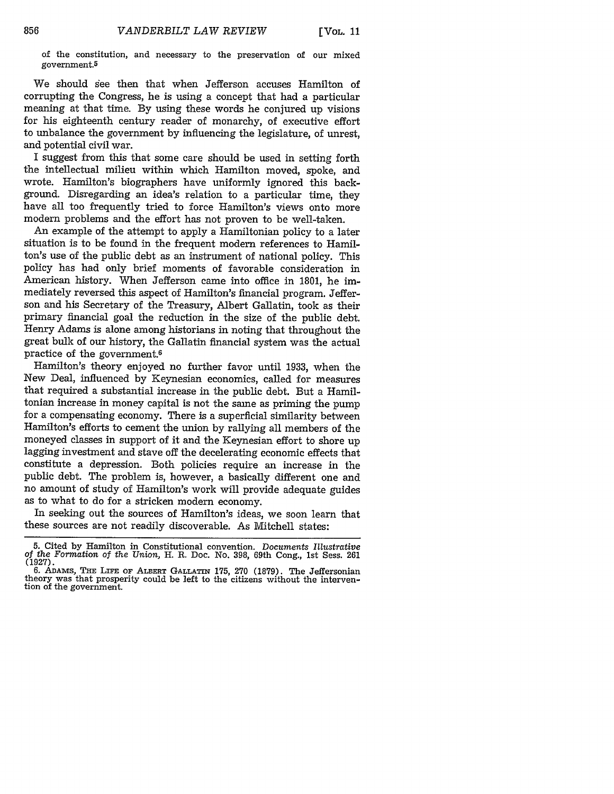[Vol. 11

of the constitution, and necessary to the preservation of our mixed government.5

We should see then that when Jefferson accuses Hamilton of corrupting the Congress, he is using a concept that had a particular meaning at that time. By using these words he conjured up visions for his eighteenth century reader of monarchy, of executive effort to unbalance the government by influencing the legislature, of unrest, and potential civil war.

I suggest from this that some care should be used in setting forth the intellectual milieu within which Hamilton moved, spoke, and wrote. Hamilton's biographers have uniformly ignored this background. Disregarding an idea's relation to a particular time, they have all too frequently tried to force Hamilton's views onto more modern problems and the effort has not proven to be well-taken.

An example of the attempt to apply a Hamiltonian policy to a later situation is to be found in the frequent modern references to Hamilton's use of the public debt as an instrument of national policy. This policy has had only brief moments of favorable consideration in American history. When Jefferson came into office in 1801, he immediately reversed this aspect of Hamilton's financial program. Jefferson and his Secretary of the Treasury, Albert Gallatin, took as their primary financial goal the reduction in the size of the public debt. Henry Adams is alone among historians in noting that throughout the great bulk of our history, the Gallatin financial system was the actual practice of the government.6

Hamilton's theory enjoyed no further favor until 1933, when the New Deal, influenced by Keynesian economics, called for measures that required a substantial increase in the public debt. But a Hamiltonian increase in money capital is not the same as priming the pump for a compensating economy. There is a superficial similarity between Hamilton's efforts to cement the union by rallying all members of the moneyed classes in support of it and the Keynesian effort to shore up lagging investment and stave off the decelerating economic effects that constitute a depression. Both policies require an increase in the public debt. The problem is, however, a basically different one and no amount of study of Hamilton's work will provide adequate guides as to what to do for a stricken modern economy.

In seeking out the sources of Hamilton's ideas, we soon learn that these sources are not readily discoverable. As Mitchell states:

<sup>5.</sup> Cited by Hamilton in Constitutional convention. *Documents Illustrative* of *the Formation* of the *Union,* H. R. Doc. No. 398, 69th Cong., 1st Sess. **<sup>261</sup>**

**<sup>(1927).</sup>** 6. ADAMs, **THE LIFE OF** ALBERT **GALLATn** 175, **270** (1879). The Jeffersonian theory was that prosperity could be left to the citizens without the intervention of the government.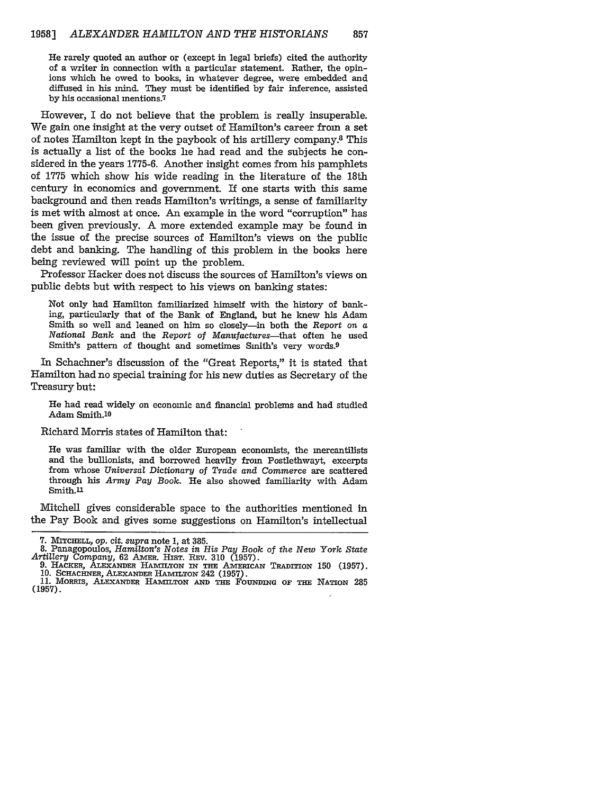He rarely quoted an author or (except in legal briefs) cited the authority of a writer in connection with a particular statement. Rather, the opinions which he owed to books, in whatever degree, were embedded and diffused in his mind. They must be identified by fair inference, assisted by his occasional mentions.<sup>7</sup>

However, I do not believe that the problem is really insuperable. We gain one insight at the very outset of Hamilton's career from a set of notes Hamilton kept in the paybook of his artillery company.8 This is actually a list of the books he had read and the subjects he considered in the years 1775-6. Another insight comes from his pamphlets of 1775 which show his wide reading in the literature of the 18th century in economics and government. If one starts with this same background and then reads Hamilton's writings, a sense of familiarity is met with almost at once. An example in the word "corruption" has been given previously. A more extended example may be found in the issue of the precise sources of Hamilton's views on the public debt and banking. The handling of this problem in the books here being reviewed will point up the problem.

Professor Hacker does not discuss the sources of Hamilton's views on public debts but with respect to his views on banking states:

Not only had Hamilton familiarized himself with the history of banking, particularly that of the Bank of England, but he knew his Adam Smith so well and leaned on him so closely—in both the Report on  $a$ National *Bank* and the *Report of Manufactures-that* often he used Smith's pattern of thought and sometimes Smith's very words.9

In Schachner's discussion of the "Great Reports," it is stated that Hamilton had no special training for his new duties as Secretary of the Treasury but:

He had read widely on economic and financial problems and had studied Adam Smith.10

#### Richard Morris states of Hamilton that:

He was familiar with the older European economists, the mercantilists and the bullionists, and borrowed heavily from Postlethwayt, excerpts from whose *Universal Dictionary of Trade and Commerce* are scattered through his *Army Pay Book.* He also showed familiarity with Adam Smith.11

Mitchell gives considerable space to the authorities mentioned in the Pay Book and gives some suggestions on Hamilton's intellectual

<sup>7.</sup> **Mr CHELL, op.** *cit. supra* note 1, at 385. **8.** Panagopoulos, *Hamilton's Notes in His Pay Book of the New York State*

Artillery Company, 62 Amer. Hist. Rev. 310 (1957).<br>
9. HACKER, ALEXANDER HAMILTON IN THE AMERICAN TRADITION 150 (1957).<br>
10. SCHACHNER, ALEXANDER HAMILTON 242 (1957).<br>
11. MORRIS, ALEXANDER HAMILTON AND THE FOUNDING OF THE

<sup>(1957).</sup>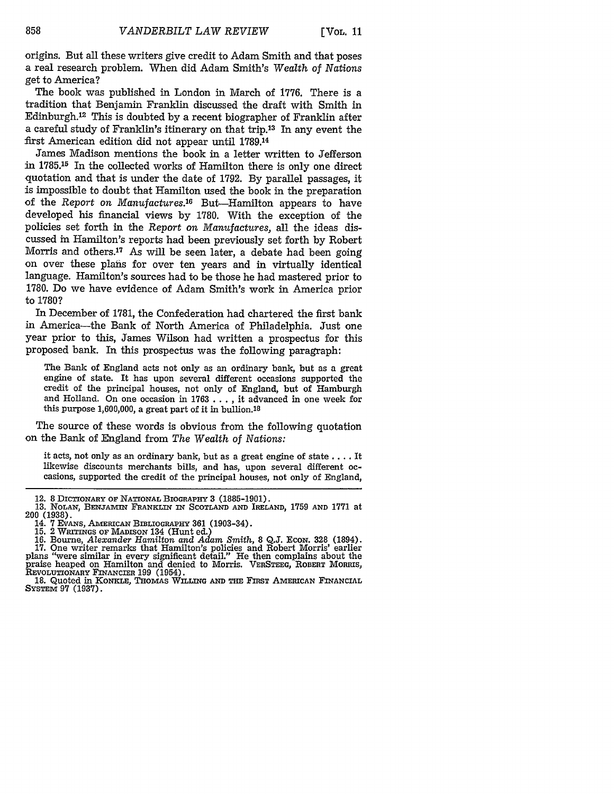origins. But all these writers give credit to Adam Smith and that poses a real research problem. When did Adam Smith's Wealth *of Nations* get to America?

The book was published in London in March of 1776. There is a tradition that Benjamin Franklin discussed the draft with Smith in Edinburgh.<sup>12</sup> This is doubted by a recent biographer of Franklin after a careful study of Franklin's itinerary on that trip.13 In any event the first American edition did not appear until 1789.14

James Madison mentions the book in a letter written to Jefferson in 1785.15 In the collected works of Hamilton there is only one direct quotation and that is under the date of 1792. By parallel passages, it is impossible to doubt that Hamilton used the book in the preparation of the *Report on Manufactures.16* But-Hamilton appears to have developed his financial views by 1780. With the exception of the policies set forth in the *Report on Manufactures,* all the ideas discussed in Hamilton's reports had been previously set forth by Robert Morris and others.<sup>17</sup> As will be seen later, a debate had been going on over these plans for over ten years and in virtually identical language. Hamilton's sources had to be those he had mastered prior to 1780. Do we have evidence of Adam Smith's work in America prior to 1780?

In December of 1781, the Confederation had chartered the first bank in America-the Bank of North America of Philadelphia. Just one year prior to this, James Wilson had written a prospectus for this proposed bank. In this prospectus was the following paragraph:

The Bank of England acts not only as an ordinary bank, but as a great engine of state. It has upon several different occasions supported the credit of the principal houses, not only of England, but of Hamburgh and Holland. On one occasion in 1763 .. ., it advanced in one week for this purpose 1,600,000, a great part of it in bullion.18

The source of these words is obvious from the following quotation on the Bank of England from *The Wealth of Nations:*

it acts, not only as an ordinary bank, but as a great engine of state .... It likewise discounts merchants bills, and has, upon several different occasions, supported the credit of the principal houses, not only of England,

<sup>12.</sup> **8** DICTIONARY or **NATIONAL BIOGRAPHY 3 (1885-1901). 13.** NOLAN, BENJAIN FRANKLIN **IN SCOTLAND AND** IRELAND, 1759 **AND 1771** at

<sup>200 (1938).&</sup>lt;br>
14. 7 EVANS, AMERICAN BIBLIOGRAPHY 361 (1903-34).<br>
15. 2 WRITINGS OF MADISON 134 (Hunt ed.)<br>
16. Bourne, Alexander Hamilton and Adam Smith, 8 Q.J. ECON. 328 (1894).<br>
17. One writer remarks that Hamilton's poli

**REVOLUTIONARY FINANCIER 199** (1954). 18. Quoted in KoNKLE, THOMAS WILLING **AND THE FIRST AMERICAN** FINANCIAL

SYSTEM 97 (1937).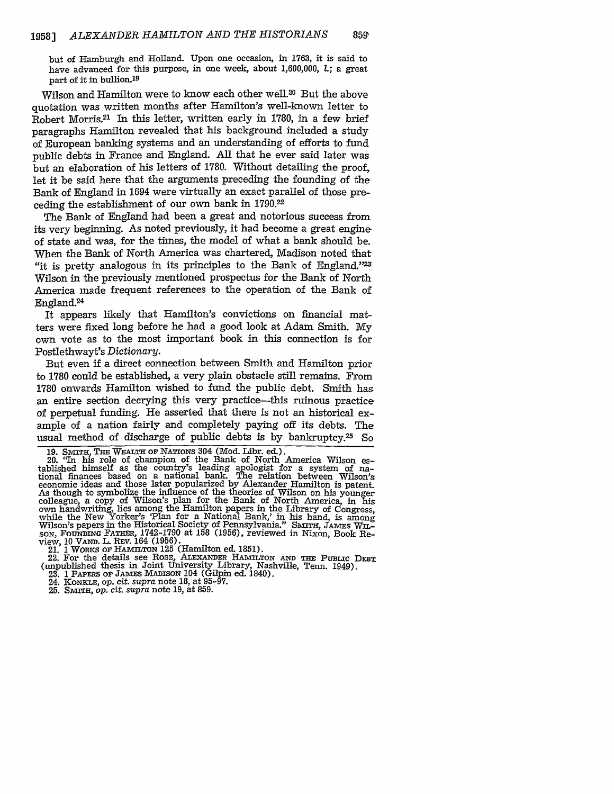but of Hamburgh and Holland. Upon one occasion, in 1763, it is said to have advanced for this purpose, in one week, about 1,600,000, **1.;** a great part of it in bullion.19

Wilson and Hamilton were to know each other well.<sup>20</sup> But the above quotation was written months after Hamilton's well-known letter to Robert Morris.<sup>21</sup> In this letter, written early in 1780, in a few brief paragraphs Hamilton revealed that his background included a study of European banking systems and an understanding of efforts to fund public debts in France and England. All that he ever said later was but an elaboration of his letters of 1780. Without detailing the proof, let it be said here that the arguments preceding the founding of the Bank of England in 1694 were virtually an exact parallel of those preceding the establishment of our own bank in 1790.22

The Bank of England had been a great and notorious success from its very beginning. As noted previously, it had become a great engine of state and was, for the times, the model of what a bank should be. When the Bank of North America was chartered, Madison noted that "it is pretty analogous in its principles to the Bank of England."2 Wilson in the previously mentioned prospectus for the Bank of North America made frequent references to the operation of the Bank of England.24

It appears likely that Hamilton's convictions on financial matters were fixed long before he had a good look at Adam Smith. My own vote as to the most important book in this connection is for Postlethwayt's *Dictionary.*

But even if a direct connection between Smith and Hamilton prior to 1780 could be established, a very plain obstacle still remains. From 1780 onwards Hamilton wished to fund the public debt. Smith has an entire section decrying this very practice-this ruinous practice of perpetual funding. He asserted that there is not an historical example of a nation fairly and completely paying off its debts. The usual method of discharge of public debts is by bankruptcy.25 So

**19. SMTH,** THE **WEALTH OF** NATIONS 304 (Mod. Libr. ed.).

20. "In his role of champion of the Bank of North America Wilson established himself as the country's leading apologist for a system of national finances based on a national bank. The relation between Wilson's economic ideas and those later popularized by Alexander Hamilton is patent. As though to symbolize the influence of the theories of Wilson on his younger colleague, a copy of Wilson's plan for the Bank of North America, in his own handwriting, lies among the Hamilton papers in the Library of Congress, while the New Yorker's 'Plan for a National Bank,' in his hand, is among<br>Wilson's papers in the Historical Society of Pennsylvania." SMITH, JAMES WILsoN, **FoUNDING** FATHER, 1742-1790 at 158 (1956), reviewed in Nixon, Book Review, 10 **VAm.** L. REV. 164 (1956). 21. 1 WoRKs **OF** HAMITON 125 (Hamilton ed. 1851).

22. For the details see ROSE, ALEXANDER HAMILTON AND THE PUBLIC DEBT<br>(unpublished thesis in Joint University Library, Nashville, Tenn. 1949). 23. 1 PAPERS OF **JAMES MADISON** 104 (Gilpin ed. 1840).

24. **KONKLE, op.** *cit. supra* note 18, at 95-97.

25. **SMITH,** op. *cit. supra* note 19, at 859.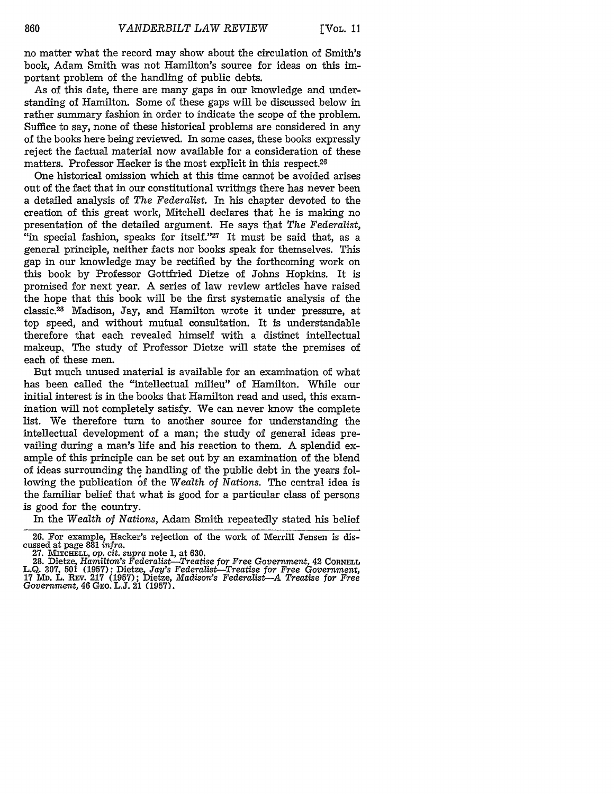no matter what the record may show about the circulation of Smith's book, Adam Smith was not Hamilton's source for ideas on this important problem of the handling of public debts.

As of this date, there are many gaps in our knowledge and understanding of Hamilton. Some of these gaps will be discussed below in rather summary fashion in order to indicate the scope of the problem. Suffice to say, none of these historical problems are considered in any of the books here being reviewed. In some cases, these books expressly reject the factual material now available for a consideration of these matters. Professor Hacker is the most explicit in this respect.26

One historical omission which at this time cannot be avoided arises out of the fact that in our constitutional writings there has never been a detailed analysis of *The Federalist.* In his chapter devoted to the creation of this great work, Mitchell declares that he is making no presentation of the detailed argument. He says that *The Federalist,* "in special fashion, speaks for itself."<sup>27</sup> It must be said that, as a general principle, neither facts nor books speak for themselves. This gap in our knowledge may be rectified by the forthcoming work on this book by Professor Gottfried Dietze of Johns Hopkins. It is promised for next year. A series of law review articles have raised the hope that this book will be the first systematic analysis of the classic.28 Madison, Jay, and Hamilton wrote it under pressure, at top speed, and without mutual consultation. It is understandable therefore that each revealed himself with a distinct intellectual makeup, The study of Professor Dietze will state the premises of each of these men.

But much unused material is available for an examination of what has been called the "intellectual milieu" of Hamilton. While our initial interest is in the books that Hamilton read and used, this examination will not completely satisfy. We can never know the complete list. We therefore turn to another source for understanding the intellectual development of a man; the study of general ideas prevailing during a man's life and his reaction to them. A splendid example of this principle can be set out by an examination of the blend of ideas surrounding the handling of the public debt in the years following the publication of the *Wealth of Nations.* The central idea is the familiar belief that what is good for a particular class of persons is good for the country.

In the *Wealth of Nations,* Adam Smith repeatedly stated his belief

<sup>26.</sup> For example, Hacker's rejection of the work of Merrill Jensen is discussed at page 881 *infra.*

<sup>27.</sup> **MiTcHELL,** *op.* cit. *supra* note 1, at 630. 28. Dietze, *Hamilton's Federalist-Treatise for Free Government,* 42 **CORNELL** L.Q. 307, 501 (1957); Dietze, *Jay's Federalist-Treatise for Free Government,* <sup>17</sup>Mi. L. REv. 217 (1957); Dietze, *Madison's Federalist-A Treatise for Free Government,* 46 GEo. L.J. 21 (1957).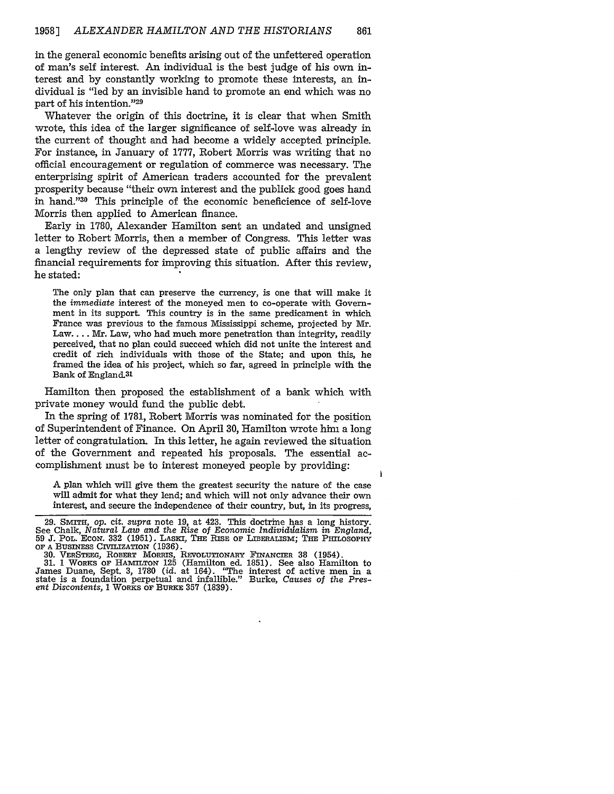in the general economic benefits arising out of the unfettered operation of man's self interest. An individual is the best judge of his own interest and by constantly working to promote these interests, an individual is "led by an invisible hand to promote an end which was no part of his intention."<sup>29</sup>

Whatever the origin of this doctrine, it is clear that when Smith wrote, this idea of the larger significance of self-love was already in the current of thought and had become a widely accepted principle. For instance, in January of 1777, Robert Morris was writing that no official encouragement or regulation of commerce was necessary. The enterprising spirit of American traders accounted for the prevalent prosperity because "their own interest and the publick good goes hand in hand."30 This principle of the economic beneficience of self-love Morris then applied to American finance.

Early in 1780, Alexander Hamilton sent an undated and unsigned letter to Robert Morris, then a member of Congress. This letter was a lengthy review of the depressed state of public affairs and the financial requirements for improving this situation. After this review, he stated:

The only plan that can preserve the currency, is one that will make it the *immediate* interest of the moneyed men to co-operate with Government in its support. This country is in the same predicament in which France was previous to the famous Mississippi scheme, projected by Mr. Law.... **Mr.** Law, who had much more penetration than integrity, readily perceived, that no plan could succeed which did not unite the interest and credit of rich individuals with those of the State; and upon this, he framed the idea of his project, which so far, agreed in principle with the Bank of England.31

Hamilton then proposed the establishment of a bank which with private money would fund the public debt.

In the spring of 1781, Robert Morris was nominated for the position of Superintendent of Finance. On April 30, Hamilton wrote him a long letter of congratulation. In this letter, he again reviewed the situation of the Government and repeated his proposals. The essential accomplishment must be to interest moneyed people by providing:

A plan which will give them the greatest security the nature of the case will admit for what they lend; and which will not only advance their own interest, and secure the independence of their country, but, in its progress,

<sup>29.</sup> SMITH, op. cit. supra note 19, at 423. This doctrine has a long history.<br>See Chalk, Natural Law and the Rise of Economic Individualism in England,<br>59 J. POL. ECON. 332 (1951). LASKI, THE RISE OF LIBERALISM; THE PHILOSO **OF A** BusINEss **CIVILIZATION** (1936).

<sup>30.</sup> VERSTEEG, ROBERT MORRIS, REVOLUTIONARY FINANCIER 38 (1954).<br>31. 1 WORKS OF HAMILTON 125 (Hamilton ed. 1851). See also Hamilton to<br>James Duane, Sept. 3, 1780 (id. at 164). "The interest of active men in a state is a foundation perpetual and infallible." Burke, *Causes of the Present Discontents,* **1** WORKs **OF BURKE 357 (1839).**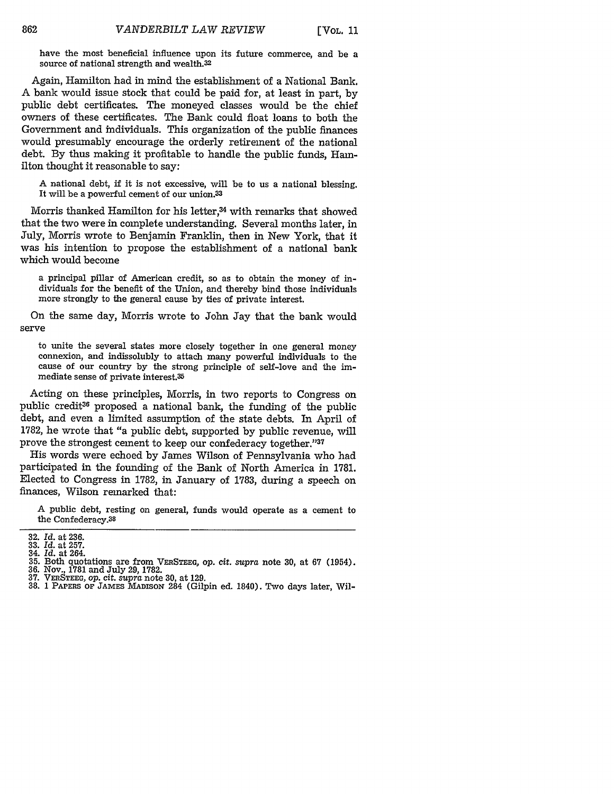have the most beneficial influence upon its future commerce, and be a source of national strength and wealth.32

Again, Hamilton had in mind the establishment of a National Bank. A bank would issue stock that could be paid for, at least in part, by public debt certificates. The moneyed classes would be the chief owners of these certificates. The Bank could float loans to both the Government and individuals. This organization of the public finances would presumably encourage the orderly retirement of the national debt. By thus making it profitable to handle the public funds, Hamilton thought it reasonable to say:

A national debt, if it is not excessive, will be to us a national blessing. It will be a powerful cement of our union.<sup>33</sup>

Morris thanked Hamilton for his letter,<sup>34</sup> with remarks that showed that the two were in complete understanding. Several months later, in July, Morris wrote to Benjamin Franklin, then in New York, that it was his intention to propose the establishment of a national bank which would become

a principal pillar of American credit, so as to obtain the money of individuals for the benefit of the Union, and thereby bind those individuals more strongly to the general cause by ties of private interest.

On the same day, Morris wrote to John Jay that the bank would serve

to unite the several states more closely together in one general money connexion, and indissolubly to attach many powerful individuals to the cause of our country by the strong principle of self-love and the immediate sense of private interest.35

Acting on these principles, Morris, in two reports to Congress on public credit36 proposed a national bank, the funding of the public debt, and even a limited assumption of the state debts. In April of 1782, he wrote that "a public debt, supported by public revenue, will prove the strongest cement to keep our confederacy together."37

His words were echoed by James Wilson of Pennsylvania who had participated in the founding of the Bank of North America in 1781. Elected to Congress in 1782, in January of 1783, during a speech on finances, Wilson remarked that:

A public debt, resting on general, funds would operate as a cement to the Confederacy.38

<sup>32.</sup> *Id.* at 236. **33.** *Id.* at 257.

<sup>34.</sup> *Id.* at 264. **35.** Both quotations are from VERSTEEG, op. *cit. supra* note **30,** at **67** (1954). **36.** Nov., 1781 and July 29, 1782.

**<sup>37.</sup>** VERSTEEG, op. cit. *supra* note 30, at 129.

<sup>38. 1</sup> PAPERS OF **JAMES MADIsoN** 284 (Gilpin ed. 1840). Two days later, Wil-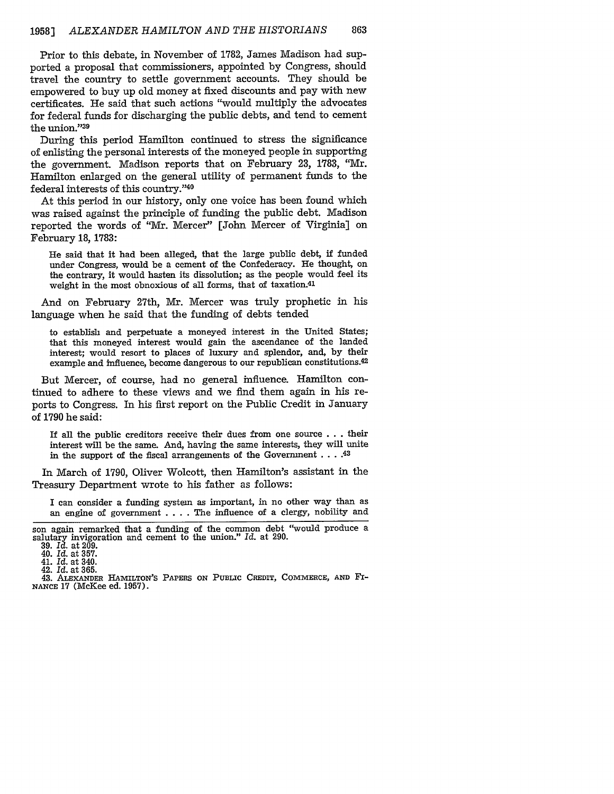Prior to this debate, in November of 1782, James Madison had supported a proposal that commissioners, appointed by Congress, should travel the country to settle government accounts. They should be empowered to buy up old money at fixed discounts and pay with new certificates. He said that such actions "would multiply the advocates for federal funds for discharging the public debts, and tend to cement the union."39

During this period Hamilton continued to stress the significance of enlisting the personal interests of the moneyed people in supporting the government. Madison reports that on February **23, 1183,** "Mr. Hamilton enlarged on the general utility of permanent funds to the federal interests of this country. '40

At this period in our history, only one voice has been found which was raised against the principle of funding the public debt. Madison reported the words of "Mr. Mercer" [John Mercer of Virginia] on February **18, 1783:**

He said that it had been alleged, that the large public debt, if funded under Congress, would be a cement of the Confederacy. He thought, on the contrary, it would hasten its dissolution; as the people would feel its weight in the most obnoxious of all forms, that of taxation.<sup>41</sup>

**And** on February 27th, Mr. Mercer was truly prophetic in his language when he said that the funding of debts tended

to establish and perpetuate a moneyed interest in the United States; that this moneyed interest would gain the ascendance of the landed interest; would resort to places of luxury and splendor, and, **by** their example and influence, become dangerous to our republican constitutions.<sup>42</sup>

But Mercer, of course, had no general influence. Hamilton continued to adhere to these views and we find them again in his reports to Congress. In his first report on the Public Credit in January of **1790** he said:

If all the public creditors receive their dues from one source **. . . their interest** will be the same. And, having the same **interests,** they will unite in the support of the fiscal arrangements of the Government **. .. .43**

In March of **1790,** Oliver Wolcott, then Hamilton's assistant in the Treasury Department wrote to his father as follows:

I can consider a funding system as important, in no other way than as an engine of government .... The influence of a clergy, nobility and

son again remarked that a funding of the common debt "would produce a salutary invigoration and cement to the union." *Id.* at **290. 39. Id.** at **209.**

<sup>40.</sup> *Id.* at **357.** 41. Id. at 340.

<sup>42.</sup> *Id.* at **365.**

<sup>43.</sup> ALEXANDER **HAMILTON'S** PAPERS **ON PUBLIC** CREDIT, COMMERCE, **AND** FI-**NANCE** 17 (McKee ed. 1957).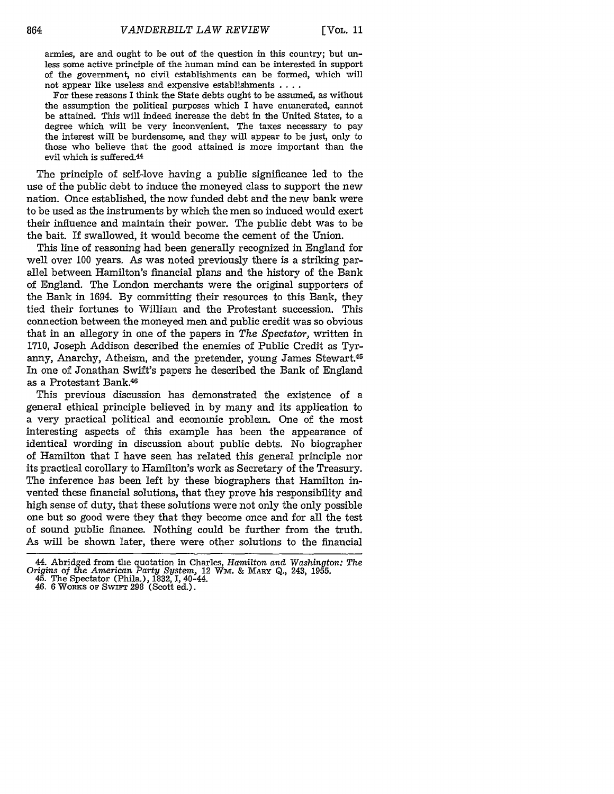armies, are and ought to be out of the question in this country; but unless some active principle of the human mind can be interested in support of the government, no civil establishments can be formed, which will not appear like useless and expensive establishments  $\dots$ .

For these reasons I think the State debts ought to be assumed, as without the assumption the political purposes which I have enumerated, cannot be attained. This will indeed increase the debt in the United States, to a degree which will be very inconvenient. The taxes necessary to pay the interest will be burdensome, and they will appear to be just, only to those who believe that the good attained is more important than the evil which is suffered.<sup>44</sup>

The principle of self-love having a public significance led to the use of the public debt to induce the moneyed class to support the new nation. Once established, the now funded debt and the new bank were to be used as the instruments by which the men so induced would exert their influence and maintain their power. The public debt was to be the bait. If swallowed, it would become the cement of the Union.

This line of reasoning had been generally recognized in England for well over 100 years. As was noted previously there is a striking parallel between Hamilton's financial plans and the history of the Bank of England. The London merchants were the original supporters of the Bank in 1694. By committing their resources to this Bank, they tied their fortunes to William and the Protestant succession. This connection between the moneyed men and public credit was so obvious that in an allegory in one of the papers in *The Spectator,* written in 1710, Joseph Addison described the enemies of Public Credit as Tyranny, Anarchy, Atheism, and the pretender, young James Stewart.<sup>45</sup> In one of Jonathan Swift's papers he described the Bank of England as a Protestant Bank.46

This previous discussion has demonstrated the existence of a general ethical principle believed in by many and its application to a very practical political and economic problem. One of the most interesting aspects of this example has been the appearance of identical wording in discussion about public debts. No biographer of Hamilton that I have seen has related this general principle nor its practical corollary to Hamilton's work as Secretary of the Treasury. The inference has been left by these biographers that Hamilton invented these financial solutions, that they prove his responsibility and high sense of duty, that these solutions were not only the only possible one but so good were they that they become once and for all the test of sound public finance. Nothing could be further from the truth. As will be shown later, there were other solutions to the financial

<sup>44.</sup> Abridged from the quotation in Charles, *Hamilton and Washington: The Origins* of *the American Party System,* 12 **Wm. &** MARY Q., 243, **1955.** 45. The Spectator (Phila.), 1832, I, 40-44.

<sup>46. 6</sup> WORKS OF SwIFT 298 (Scott ed.).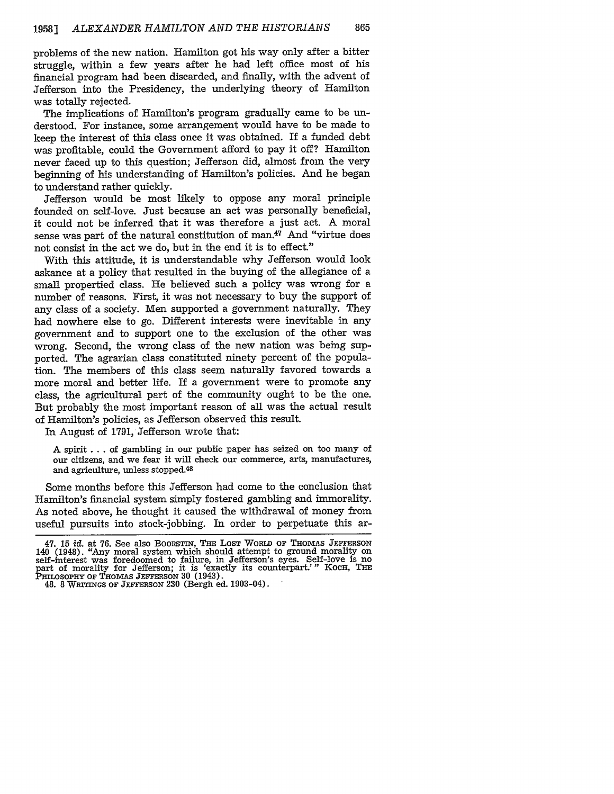problems of the new nation. Hamilton got his way only after a bitter struggle, within a few years after he had left office most of his financial program had been discarded, and finally, with the advent of Jefferson into the Presidency, the underlying theory of Hamilton was totally rejected.

The implications of Hamilton's program gradually came to be understood. For instance, some arrangement would have to be made to keep the interest of this class once it was obtained. If a funded debt was profitable, could the Government afford to pay it off? Hamilton never faced up to this question; Jefferson did, almost from the very beginning of his understanding of Hamilton's policies. And he began to understand rather quickly.

Jefferson would be most likely to oppose any moral principle founded on self-love. Just because an act was personally beneficial, it could not be inferred that it was therefore a just act. A moral sense was part of the natural constitution of man. $47$  And "virtue does not consist in the act we do, but in the end it is to effect."

With this attitude, it is understandable why Jefferson would look askance at a policy that resulted in the buying of the allegiance of a small propertied class. He believed such a policy was wrong for a number of reasons. First, it was not necessary to buy the support of any class of a society. Men supported a government naturally. They had nowhere else to go. Different interests were inevitable in any government and to support one to the exclusion of the other was wrong. Second, the wrong class of the new nation was being supported. The agrarian class constituted ninety percent of the population. The members of this class seem naturally favored towards a more moral and better life. If a government were to promote any class, the agricultural part of the community ought to be the one. But probably the most important reason of all was the actual result of Hamilton's policies, as Jefferson observed this result.

In August of 1791, Jefferson wrote that:

A spirit **...** of gambling in our public paper has seized on too many of our citizens, and we fear it will check our commerce, arts, manufactures, and agriculture, unless stopped.<sup>48</sup>

Some months before this Jefferson had come to the conclusion that Hamilton's financial system simply fostered gambling and immorality. As noted above, he thought it caused the withdrawal of money from useful pursuits into stock-jobbing. In order to perpetuate this ar-

<sup>47. 15</sup> id. at 76. See also BOORSTIN, THE LOST WORLD OF THOMAS JEFFERSON 140 (1948). "Any moral system which should attempt to ground morality on self-interest was foredoomed to failure, in Jefferson's eyes. Self-love is n

<sup>48. 8</sup> WRITINGS OF **JEFFERSON** 230 (Bergh ed. 1903-04).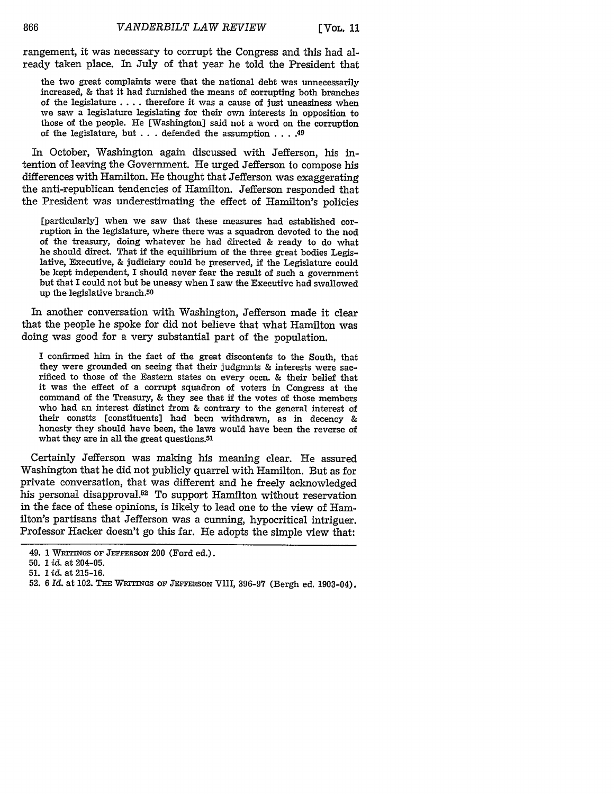[VOL. 11

rangement, it was necessary to corrupt the Congress and this had already taken place. In July of that year he told the President that

the two great complaints were that the national debt was unnecessarily increased, & that it had furnished the means of corrupting both branches of the legislature .... therefore it was a cause of just uneasiness when we saw a legislature legislating for their own interests in opposition to those of the people. He [Washington] said not a word on the corruption of the legislature, but . . . defended the assumption **....** 49

In October, Washington again discussed with Jefferson, his intention of leaving the Government. He urged Jefferson to compose his differences with Hamilton. He thought that Jefferson was exaggerating the anti-republican tendencies of Hamilton. Jefferson responded that the President was underestimating the effect of Hamilton's policies

[particularly] when we saw that these measures had established corruption in the legislature, where there was a squadron devoted to the nod of the treasury, doing whatever he had directed & ready to do what he should direct. That if the equilibrium of the three great bodies Legislative, Executive, & judiciary could be preserved, if the Legislature could be kept independent, I should never fear the result of such a government but that I could not but be uneasy when I saw the Executive had swallowed up the legislative branch.<sup>50</sup>

In another conversation with Washington, Jefferson made it clear that the people he spoke for did not believe that what Hamilton was doing was good for a very substantial part of the population.

I confirmed him in the fact of the great discontents to the South, that they were grounded on seeing that their judgmnts & interests were sacrificed to those of the Eastern states on every occn. & their belief that it was the effect of a corrupt squadron of voters in Congress at the command of the Treasury, & they see that if the votes of those members who had an interest distinct from & contrary to the general interest of their constts [constituents] had been withdrawn, as in decency & honesty they should have been, the laws would have been the reverse of what they are in all the great questions.51

Certainly Jefferson was making his meaning clear. He assured Washington that he did not publicly quarrel with Hamilton. But as for private conversation, that was different and he freely acknowledged his personal disapproval.<sup>52</sup> To support Hamilton without reservation in the face of these opinions, is likely to lead one to the view of Hamilton's partisans that Jefferson was a cunning, hypocritical intriguer. Professor Hacker doesn't go this far. He adopts the simple view that:

<sup>49. 1</sup> WRITINGS OF JEFFERSON 200 (Ford ed.).

**<sup>50. 1</sup>** *id.* at 204-05.

<sup>51. 1</sup> id. at 215-16.

<sup>52. 6</sup> *Id.* at 102. THE **WRITGS OF JEFFERsoN** VIII, 396-97 (Bergh ed. 1903-04).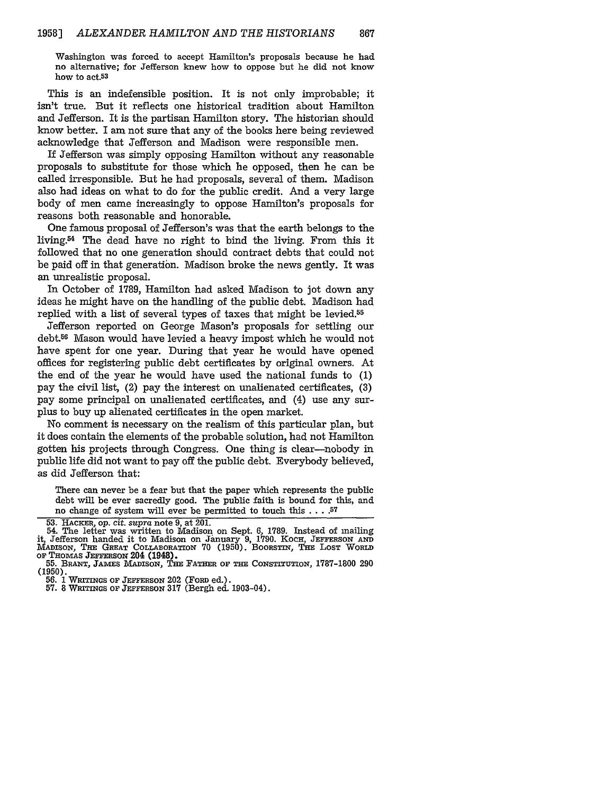Washington was forced to accept Hamilton's proposals because he had no alternative; for Jefferson knew how to oppose but he did not know how to act.<sup>53</sup>

This is an indefensible position. It is not only improbable; it isn't true. But it reflects one historical tradition about Hamilton and Jefferson. It is the partisan Hamilton story. The historian should know better. I am not sure that any of the books here being reviewed acknowledge that Jefferson and Madison were responsible men.

If Jefferson was simply opposing Hamilton without any reasonable proposals to substitute for those which he opposed, then he can be called irresponsible. But he had proposals, several of them. Madison also had ideas on what to do for the public credit. And a very large body of men came increasingly to oppose Hamilton's proposals for reasons both reasonable and honorable.

One famous proposal of Jefferson's was that the earth belongs to the living. $54$  The dead have no right to bind the living. From this it followed that no one generation should contract debts that could not be paid off in that generation. Madison broke the news gently. It was an unrealistic proposal.

In October of 1789, Hamilton had asked Madison to jot down any ideas he might have on the handling of the public debt. Madison had replied with a list of several types of taxes that might be levied.<sup>55</sup>

Jefferson reported on George Mason's proposals for settling our debt.<sup>56</sup> Mason would have levied a heavy impost which he would not have spent for one year. During that year he would have opened offices for registering public debt certificates by original owners. At the end of the year he would have used the national funds to (1) pay the civil list, (2) pay the interest on unalienated certificates, (3) pay some principal on unalienated certificates, and (4) use any surplus to buy up alienated certificates in the open market.

No comment is necessary on the realism of this particular plan, but it does contain the elements of the probable solution, had not Hamilton gotten his projects through Congress. One thing is clear-nobody in public life did not want to pay off the public debt. Everybody believed, as did Jefferson that:

There can never be a fear but that the paper which represents **the** public debt will be ever sacredly good. The public faith is bound for this, and **no** change of system will ever be permitted to touch this **.... 57**

<sup>53.</sup> **HACKEa,** op. cit. *supra* note 9, at 201.

<sup>54.</sup> The letter was written to Madison on Sept. 6, 1789. Instead of mailing<br>it, Jefferson handed it to Madison on January 9, 1790. Koch, JEFFERSON AND<br>MADISON, THE GREAT COLLABORATION 70 (1950). BOORSTIN, THE LOST WORLD **OF THomAs JEFFERSON** 204 (1948). **55. BRANT,** JAMES MADISON, **THE** FATHER **OF THE CONSTiTUTION,** 1787-1800 290

<sup>(1950).</sup>

<sup>56. 1</sup> WRITINGS OF JEFFERSON 202 (FORD ed.).

**<sup>57.</sup>** 8 WRITINGS **OF JEFFERSON 317 (Bergh ed.** 1903-04).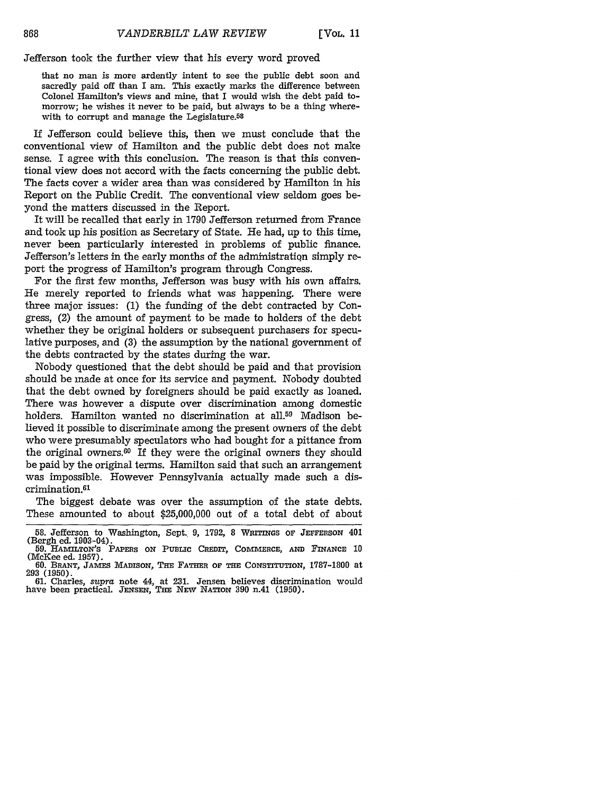Jefferson took the further view that his every word proved

that no man is more ardently intent to see the public debt soon and sacredly paid off than I am. This exactly marks the difference between Colonel Hamilton's views and mine, that I would wish the debt paid tomorrow; he wishes it never to be paid, but always to be a thing wherewith to corrupt and manage the Legislature.<sup>58</sup>

If Jefferson could believe this, then we must conclude that the conventional view of Hamilton and the public debt does not make sense. I agree with this conclusion. The reason is that this conventional view does not accord with the facts concerning the public debt. The facts cover a wider area than was considered **by** Hamilton in his Report on the Public Credit. The conventional view seldom goes beyond the matters discussed in the Report.

It will be recalled that early in **1790** Jefferson returned from France and took up his position as Secretary of State. He had, up to this time, never been particularly interested in problems of public finance. Jefferson's letters in the early months of the administratiqn simply report the progress of Hamilton's program through Congress.

For the first few months, Jefferson was busy with his own affairs. He merely reported to friends what was happening. There were three major issues: **(1)** the funding of the debt contracted **by** Congress, (2) the amount of payment to be made to holders of the debt whether they be original holders or subsequent purchasers for speculative purposes, and **(3)** the assumption **by** the national government of the debts contracted **by** the states during the war.

Nobody questioned that the debt should be paid and that provision should be made at once for its service and payment. Nobody doubted that the debt owned **by** foreigners should be paid exactly as loaned. There was however a dispute over discrimination among domestic holders. Hamilton wanted no discrimination at all.<sup>59</sup> Madison believed it possible to discriminate among the present owners of the debt who were presumably speculators who had bought for a pittance from the original owners.60 If they were the original owners they should be paid **by** the original terms. Hamilton said that such an arrangement was impossible. However Pennsylvania actually made such a discrimination. <sup>61</sup>

The biggest debate was over the assumption of the state debts. These amounted to about **\$25,000,000** out of a total debt of about

**<sup>58.</sup>** Jefferson to Washington, Sept. **9,** 1792, 8 **WITINGs OF JEFFERSON** 401 (Bergh ed. 1903-04).

**<sup>59.</sup> HAMILTON'S** PAPERS **ON** PUBLIC CREDIT, COMMERCE, *AND* **FINANCE** *10*

<sup>(</sup>McKee ed. 1957). 60. BRANT, JAMES **MADISON,** THE FATHER OF THE **CONSTITUTION,** 1787-1800 at **<sup>293</sup>**(1950). 61. Charles, supra note 44, at **231.** Jensen believes discrimination would have been practical. **JENSEN, THE** NEW NATION **390** n.41 (1950).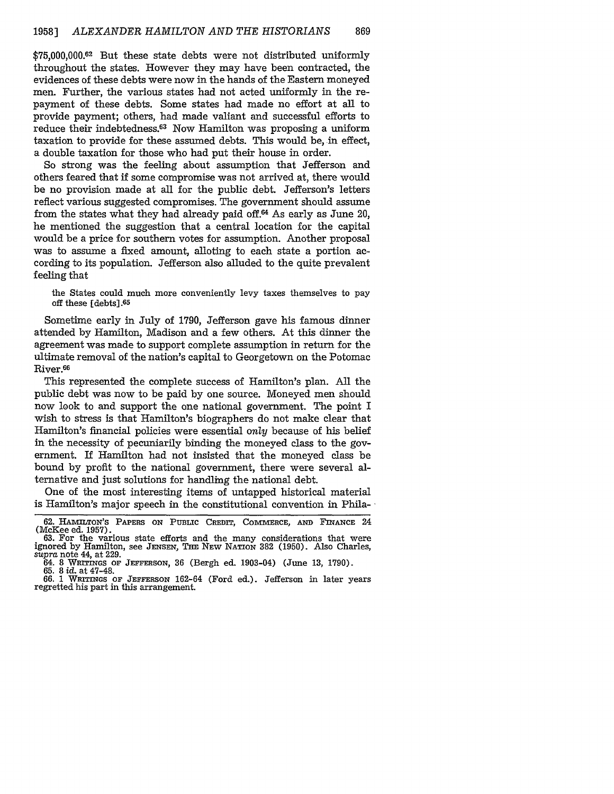\$75,000,000.62 But these state debts were not distributed uniformly throughout the states. However they may have been contracted, the evidences of these debts were now in the hands of the Eastern moneyed men. Further, the various states had not acted uniformly in the repayment of these debts. Some states had made no effort at all to provide payment; others, had made valiant and successful efforts to reduce their indebtedness.63 Now Hamilton was proposing a uniform taxation to provide for these assumed debts. This would be, in effect, a double taxation for those who had put their house in order.

So strong was the feeling about assumption that Jefferson and others feared that if some compromise was not arrived at, there would be no provision made at all for the public debt. Jefferson's letters reflect various suggested compromises. The government should assume from the states what they had already paid off.64 As early as June 20, he mentioned the suggestion that a central location for the capital would be a price for southern votes for assumption. Another proposal was to assume a fixed amount, alloting to each state a portion according to its population. Jefferson also alluded to the quite prevalent feeling that

the States could much more conveniently levy taxes themselves to pay off these  $[{\rm debts}].$ <sup>65</sup>

Sometime early in July of 1790, Jefferson gave his famous dinner attended by Hamilton, Madison and a few others. At this dinner the agreement was made to support complete assumption in return for the ultimate removal of the nation's capital to Georgetown on the Potomac River.<sup>66</sup>

This represented the complete success of Hamilton's plan. All the public debt was now to be paid by one source. Moneyed men should now look to and support the one national government. The point I wish to stress is that Hamilton's biographers do not make clear that Hamilton's financial policies were essential only because of his belief in the necessity of pecuniarily binding the moneyed class to the government. If Hamilton had not insisted that the moneyed class be bound by profit to the national government, there were several alternative and just solutions for handling the national debt.

One of the most interesting items of untapped historical material is Hamilton's major speech in the constitutional convention in Phila-  $\cdot$ 

64. 8 WRITINGs OF JEFFERSON, **36** (Bergh ed. 1903-04) (June 13, 1790). 65. 8 id. at 47-48.

66. 1 WRITINGS OF **JEFFERSON** 162-64 (Ford ed.). Jefferson in later years regretted his part in this arrangement.

<sup>62.</sup> HAMILTON'S PAPERS ON PUBLIC CREDIT, COMMERCE, AND FINANCE 24 (McKee ed. 1957).

<sup>63.</sup> For the various state efforts and the many considerations that were ignored by Hamilton, see JENSEN, THE NEW NATION 382 (1950). Also Charles, *supra* note 44, at 229.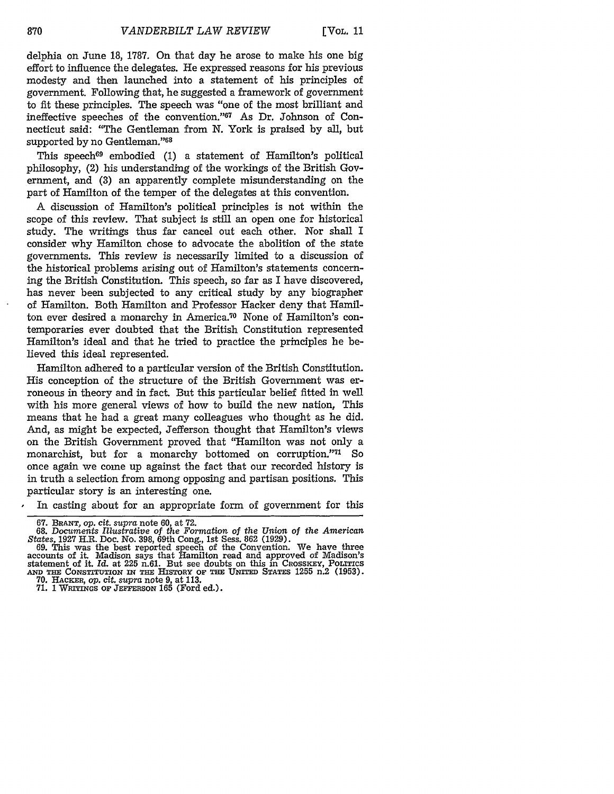delphia on June 18, 1787. On that day he arose to make his one big effort to influence the delegates. He expressed reasons for his previous modesty and then launched into a statement of his principles of government. Following that, he suggested a framework of government to fit these principles. The speech was "one of the most brilliant and ineffective speeches of the convention."<sup>67</sup> As Dr. Johnson of Connecticut said: "The Gentleman from N. York is praised by all, but supported by no Gentleman."<sup>68</sup>

This speech<sup>69</sup> embodied (1) a statement of Hamilton's political philosophy, (2) his understanding of the workings of the British Government, and (3) an apparently complete misunderstanding on the part of Hamilton of the temper of the delegates at this convention.

A discussion of Hamilton's political principles is not within the scope of this review. That subject is still an open one for historical study. The writings thus far cancel out each other. Nor shall I consider why Hamilton chose to advocate the abolition of the state governments. This review is necessarily limited to a discussion of the historical problems arising out of Hamilton's statements concerning the British Constitution. This speech, so far as I have discovered, has never been subjected to any critical study by any biographer of Hamilton. Both Hamilton and Professor Hacker deny that Hamilton ever desired a monarchy in America.70 None of Hamilton's contemporaries ever doubted that the British Constitution represented Hamilton's ideal and that he tried to practice the principles he believed this ideal represented.

Hamilton adhered to a particular version of the British Constitution. His conception of the structure of the British Government was erroneous in theory and in fact. But this particular belief fitted in well with his more general views of how to build the new nation, This means that he had a great many colleagues who thought as he did. And, as might be expected, Jefferson thought that Hamilton's views on the British Government proved that "Hamilton was not only a monarchist, but for a monarchy bottomed on corruption."<sup>71</sup> So once again we come up against the fact that our recorded history is in truth a selection from among opposing and partisan positions. This particular story is an interesting one.

In casting about for an appropriate form of government for this

<sup>67.</sup> **BRANT,** op. cit. supra note 60, at **72.**

**<sup>68.</sup>** *Documents Illustrative of the Formation* of *the Union of the American States,* 1927 H.R. Doc. No. **398,** 69th Cong., 1st Sess. **862** (1929). 69. This was the best reported speech of the Convention. We have three

accounts of it. Madison says that Hamilton read and approved of Madison's statement of it. Id. at 225 n.61. But see doubts on this in CROSSKEY, **POLITICS AND THE CONSTITUTION IN THE HISTORY** OF **THE UNITED STATES** 1255 n.2 (1953). 70. **HAcKER,** *op. cit. supra* note 9, at 113.

<sup>71. 1</sup> WRITINGS OF **JEFFERSON** 165 (Ford ed.).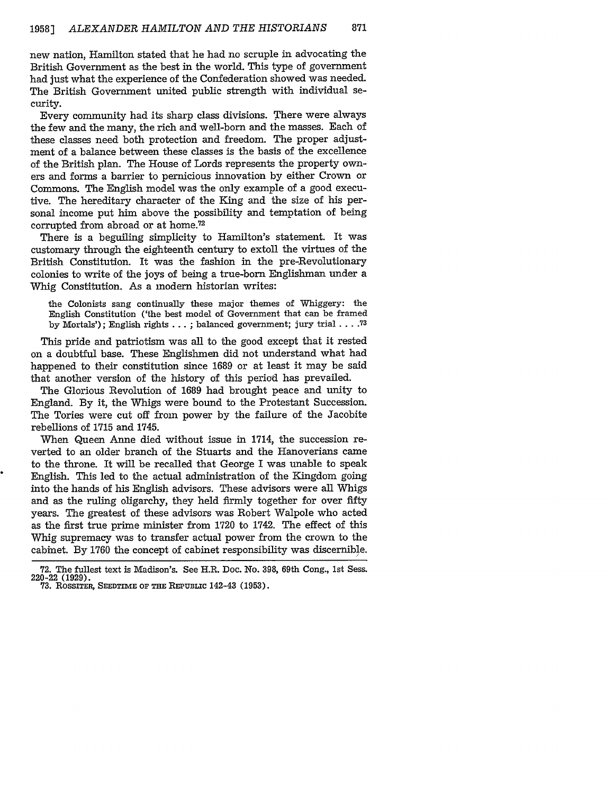new nation, Hamilton stated that he had no scruple in advocating the British Government as the best in the world. This type of government had just what the experience of the Confederation showed was needed. The British Government united public strength with individual security.

Every community had its sharp class divisions. There were always the few and the many, the rich and well-born and the masses. Each of these classes need both protection and freedom. The proper adjustment of a balance between these classes is the basis of the excellence of the British plan. The House of Lords represents the property owners and forms a barrier to pernicious innovation by either Crown or Commons. The English model was the only example of a good executive. The hereditary character of the King and the size of his personal income put him above the possibility and temptation of being corrupted from abroad or at home. $72$ 

There is a beguiling simplicity to Hamilton's statement. It was customary through the eighteenth century to extoll the virtues of the British Constitution. It was the fashion in the pre-Revolutionary colonies to write of the joys of being a true-born Englishman under a Whig Constitution. As a modern historian writes:

the Colonists sang continually these major themes of Whiggery: the English Constitution ('the best model of Government that can be framed by Mortals'); English rights... ; balanced government; jury trial **.... 73**

This pride and patriotism was all to the good except that it rested on a doubtful base. These Englishmen did not understand what had happened to their constitution since 1689 or at least it may be said that another version of the history of this period has prevailed.

The Glorious Revolution of 1689 had brought peace and unity to England. By it, the Whigs were bound to the Protestant Succession. The Tories were cut off from power by the failure of the Jacobite rebellions of 1715 and 1745.

When Queen Anne died without issue in 1714, the succession reverted to an older branch of the Stuarts and the Hanoverians came to the throne. It will be recalled that George I was unable to speak English. This led to the actual administration of the Kingdom going into the hands of his English advisors. These advisors were all Whigs and as the ruling oligarchy, they held firmly together for over fifty years. The greatest of these advisors was Robert Walpole who acted as the first true prime minister from 1720 to 1742. The effect of this Whig supremacy was to transfer actual power from the crown to the cabinet. By 1760 the concept of cabinet responsibility was discernible.

**<sup>72.</sup>** The fullest text is Madison's. See H.R. Doc. No. 398, 69th Cong., 1st Sess. 220-22 (1929). **73.** RossiTER, SEEDTIME OF **THE REPUBLIc** 142-43 **(1953).**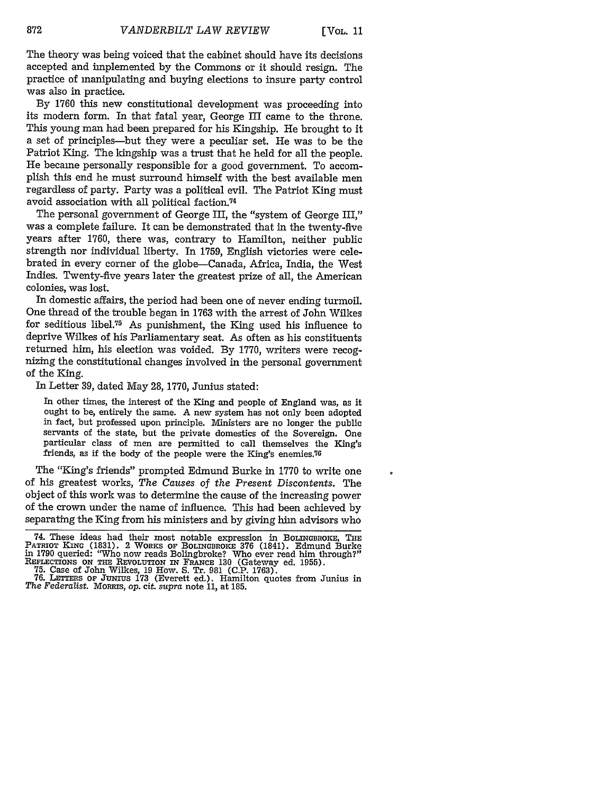The theory was being voiced that the cabinet should have its decisions accepted and implemented by the Commons or it should resign. The practice of manipulating and buying elections to insure party control was also in practice.

By 1760 this new constitutional development was proceeding into its modern form. In that fatal year, George III came to the throne. This young man had been prepared for his Kingship. He brought to it a set of principles-but they were a peculiar set. He was to be the Patriot King. The kingship was a trust that he held for all the people. He became personally responsible for a good government. To accomplish this end he must surround himself with the best available men regardless of party. Party was a political evil. The Patriot King must avoid association with all political faction.74

The personal government of George III, the "system of George III," was a complete failure. It can be demonstrated that in the twenty-five years after 1760, there was, contrary to Hamilton, neither public strength nor individual liberty. In 1759, English victories were celebrated in every corner of the globe-Canada, Africa, India, the West Indies. Twenty-five years later the greatest prize of all, the American colonies, was lost.

In domestic affairs, the period had been one of never ending turmoil. One thread of the trouble began in 1763 with the arrest of John Wilkes for seditious libel.75 As punishment, the King used his influence to deprive Wilkes of his Parliamentary seat. As often as his constituents returned him, his election was voided. By 1770, writers were recognizing the constitutional changes involved in the personal government of the King.

In Letter 39, dated May 28, 1770, Junius stated:

In other times, the interest of the King and people of England was, as it ought to be, entirely the same. A new system has not only been adopted in fact, but professed upon principle. Ministers are no longer the public servants of the state, but the private domestics of the Sovereign. One particular class of men are permitted to call themselves the King's friends, as if the body of the people were the King's enemies.<sup>76</sup>

The "King's friends" prompted Edmund Burke in 1770 to write one of his greatest works, *The Causes of the Present Discontents.* The object of this work was to determine the cause of the increasing power of the crown under the name of influence. This had been achieved by separating the King from his ministers and by giving him advisors who

<sup>74.</sup> These ideas had their most notable expression in BOLINGBROKE, THE PATRIOT KING (1831). 2 WORKS OF BOLINGBROKE 376 (1841). Edmund Burke in 1790 queried: "Who now reads Bolingbroke? Who ever read him through?" PATRIOT KING (1831). 2 WORKS OF BOLINGBROKE 376 (1841). Edmund Burke<br>in 1790 queried: "Who now reads Bolingbroke? Who ever read him through?"<br>REFLECTIONS ON THE REVOLUTION IN FRANCE 130 (Gateway ed. 1955).<br>75. Case of John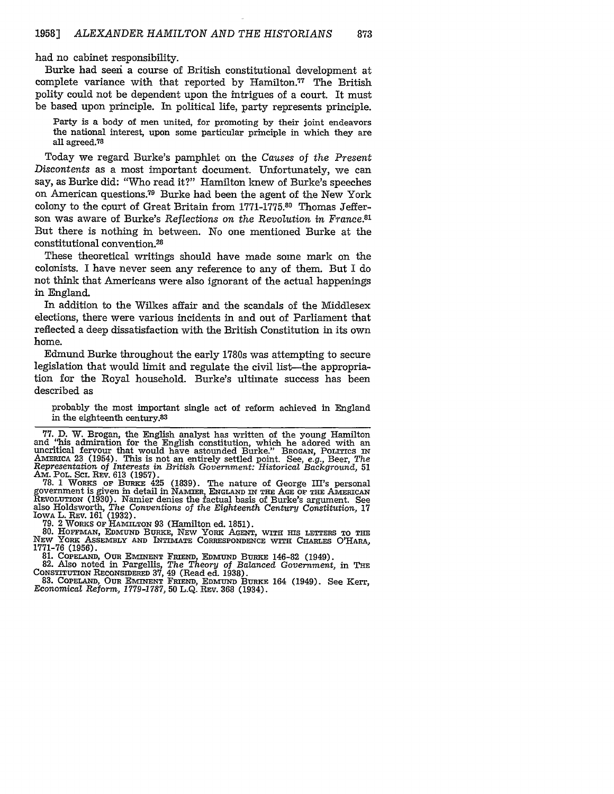had no cabinet responsibility.

Burke had seen a course of British constitutional development at complete variance with that reported by Hamilton.<sup>77</sup> The British polity could not be dependent upon the intrigues of a court. It must be based upon principle. In political life, party represents principle.

Party is a body of men united, for promoting by their joint endeavors the national interest, upon some particular principle in which they are all agreed.?8

Today we regard Burke's pamphlet on the *Causes of the Present Discontents* as a most important document. Unfortunately, we can say, as Burke did: "Who read it?" Hamilton knew of Burke's speeches on American questions.79 Burke had been the agent of the New York colony to the court of Great Britain from 1771-1775.80 Thomas Jefferson was aware of Burke's *Reflections on the Revolution in France.81* But there is nothing in between. No one mentioned Burke at the constitutional convention.<sup>28</sup>

These theoretical writings should have made some mark on the colonists. I have never seen any reference to any of them. But I do not think that Americans were also ignorant of the actual happenings in England.

In addition to the Wilkes affair and the scandals of the Middlesex elections, there were various incidents in and out of Parliament that reflected a deep dissatisfaction with the British Constitution in its own home.

Edmund Burke throughout the early 1780s was attempting to secure legislation that would limit and regulate the civil list—the appropriation for the Royal household. Burke's ultimate success has been described as

probably the most important single act of reform achieved in England in the eighteenth century. <sup>3</sup>

**77.** D. W. Brogan, the English analyst has written of the young Hamilton and "his admiration for the English constitution, which he adored with an uncritical fervour that would have astounded Burke." BROGAN, POLITICS **IN AMERICA** 23 (1954). This is not an entirely settled point. See, e.g., Beer, *The Representation of Interests* in *British Government: Historical Background,* <sup>51</sup> Am. POL. **SC.** REV. 613 (1957). **78.** 1 WORKS OF **BURKE** 425 (1839). The nature of George III's personal

government is given in detail in NAMIER, ENGLAND IN THE **AGE OF THE AMERICAN** REVOLUTION (1930). Namier denies the factual basis of Burke's argument. See also Holdsworth, *The Conventions* of *the Eighteenth Century Constitution,* <sup>17</sup>

IOWA L. REV. 161 (1932).<br>79. 2 WORKS OF HAMILTON 93 (Hamilton ed. 1851).<br>80. HOFFMAN, EDMUND BURKE, NEW YORK AGENT, WITH HIS LETTERS TO THE<br>NEW YORK ASSEMBLY AND INTIMATE CORRESPONDENCE WITH CHARLES O'HARA, 1771-76 (1956). 81. **COPELAND,** OUR EMINENT **FRIEND, EDMUND** BURKE 146-82 (1949). 82. Also noted in Pargellis, *The* Theory *of Balanced Government,* in **THE**

CONSTITUTION RECONSIDERED **37,** 49 (Read ed. 1938). 83. **COPELAND, OUR EMINENT** FRIEND, EDMUND BURKE 164 (1949). See Kerr, Economical *Reform, 1779-1787,* 50 **L.Q.** REV. **368** (1934).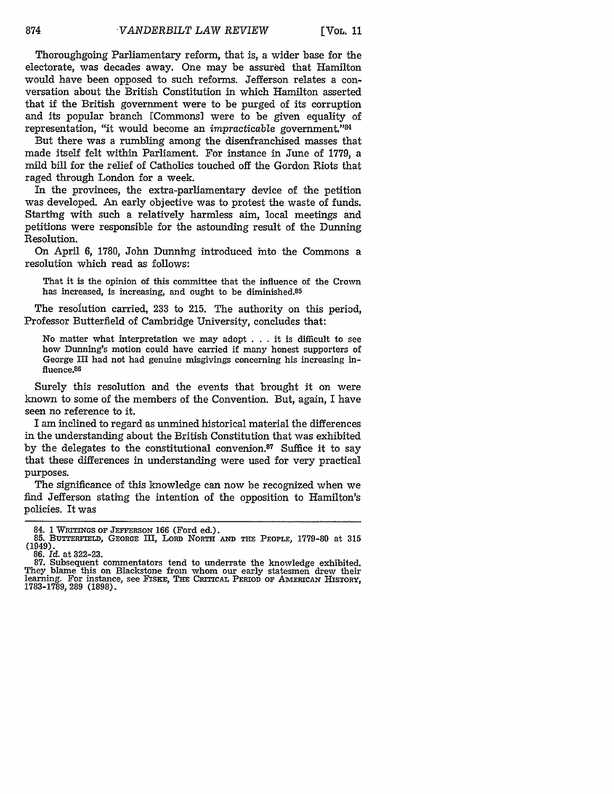Thoroughgoing Parliamentary reform, that is, a wider base for the electorate, was decades away. One may be assured that Hamilton would have been opposed to such reforms. Jefferson relates a conversation about the British Constitution in which Hamilton asserted that if the British government were to be purged of its corruption and its popular branch [Commons] were to be given equality of representation, "it would become an *impracticable* government."<sup>8</sup>

But there was a rumbling among the disenfranchised masses that made itself felt within Parliament. For instance in June of 1779, a mild bill for the relief of Catholics touched off the Gordon Riots that raged through London for a week.

In the provinces, the extra-parliamentary device of the petition was developed. An early objective was to protest the waste of funds. Starting with such a relatively harmless aim, local meetings and petitions were responsible for the astounding result of the Dunning Resolution.

On April 6, 1780, John Dunning introduced into the Commons a resolution which read as follows:

That it is the opinion of this committee that the influence of the Crown has increased, is increasing, and ought to be diminished.<sup>85</sup>

The resolution carried, 233 to 215. The authority on this period, Professor Butterfield of Cambridge University, concludes that:

No matter what interpretation we may adopt . . . it is difficult to see how Dunning's motion could have carried **if** many honest supporters of George III had not had genuine misgivings concerning his increasing influence.86

Surely this resolution and the events that brought it on were known to some of the members of the Convention. But, again, I have seen no reference to it.

I am inclined to regard as unmined historical material the differences in the understanding about the British Constitution that was exhibited by the delegates to the constitutional convenion. $87$  Suffice it to say that these differences in understanding were used for very practical purposes.

The significance of this knowledge can now be recognized when we find Jefferson stating the intention of the opposition to Hamilton's policies. It was

<sup>84. 1</sup> WRTINGS **OF JEFFERSON** 166 (Ford ed.). **85.** BUTTERFED, **GEORGE** III, **LORD NORTH AND THE PEOPLE, 1779-80 at 315** (1949).

**<sup>86.</sup>** *Id.* at **322-23.**

**<sup>87.</sup>** Subsequent commentators tend to underrate **the** knowledge exhibited. They blame this on Blackstone from whom our early statesmen drew their learning. For instance, see FIsKE, THE **CRITICAL PERIOD OF AMERICAN** HISTORY, 1783-1789, 289 (1898).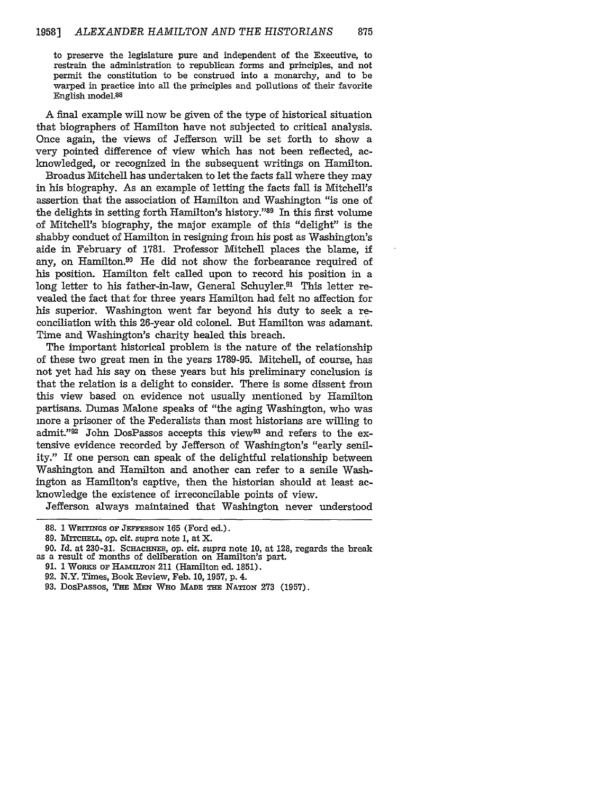to preserve the legislature pure and independent of the Executive, to restrain the administration to republican forms and principles, and not permit the constitution to be construed into a monarchy, and to be warped in practice into all the principles and pollutions of their favorite English model.88

A final example will now be given of the type of historical situation that biographers of Hamilton have not subjected to critical analysis. Once again, the views of Jefferson will be set forth to show a very pointed difference of view which has not been reflected, acknowledged, or recognized in the subsequent writings on Hamilton.

Broadus Mitchell has undertaken to let the facts fall where they may in his biography. As an example of letting the facts fall is Mitchell's assertion that the association of Hamilton and Washington "is one of the delights in setting forth Hamilton's history."89 In this first volume of Mitchell's biography, the major example of this "delight" is the shabby conduct of Hamilton in resigning from his post as Washington's aide in February of 1781. Professor Mitchell places the blame, if any, on Hamilton.90 He did not show the forbearance required of his position. Hamilton felt called upon to record his position in a long letter to his father-in-law, General Schuyler.<sup>91</sup> This letter revealed the fact that for three years Hamilton had felt no affection for his superior. Washington went far beyond his duty to seek a reconciliation with this 26-year old colonel. But Hamilton was adamant. Time and Washington's charity healed this breach.

The important historical problem is the nature of the relationship of these two great men in the years 1789-95. Mitchell, of course, has not yet had his say on these years but his preliminary conclusion is that the relation is a delight to consider. There is some dissent from this view based on evidence not usually mentioned by Hamilton partisans. Dumas Malone speaks of "the aging Washington, who was more a prisoner of the Federalists than most historians are willing to admit."92 John DosPassos accepts this view<sup>93</sup> and refers to the extensive evidence recorded by Jefferson of Washington's "early senility." If one person can speak of the delightful relationship between Washington and Hamilton and another can refer to a senile Washington as Hamilton's captive, then the historian should at least acknowledge the existence of irreconcilable points of view.

Jefferson always maintained that Washington never understood

- **92.** N.Y. Times, Book Review, Feb. **10, 1957, p.** 4.
- **93.** DosPAssos, **THE MEN WHO MADE THE** NATION **273 (1957).**

<sup>88. 1</sup> WRITINGS OF JEFFERSON 165 (Ford ed.).

<sup>89.</sup> **MiTcHELL,** op. **cit.** *supra* note 1, at X.

<sup>90.</sup> *Id.* at **230-31. SCHACHNER,** op. *cit. supra* note 10, at 128, regards the break as a result of months of deliberation on Hamilton's part.

<sup>91. 1</sup> WoRKs **OF HAMILTON** 211 (Hamilton ed. 1851).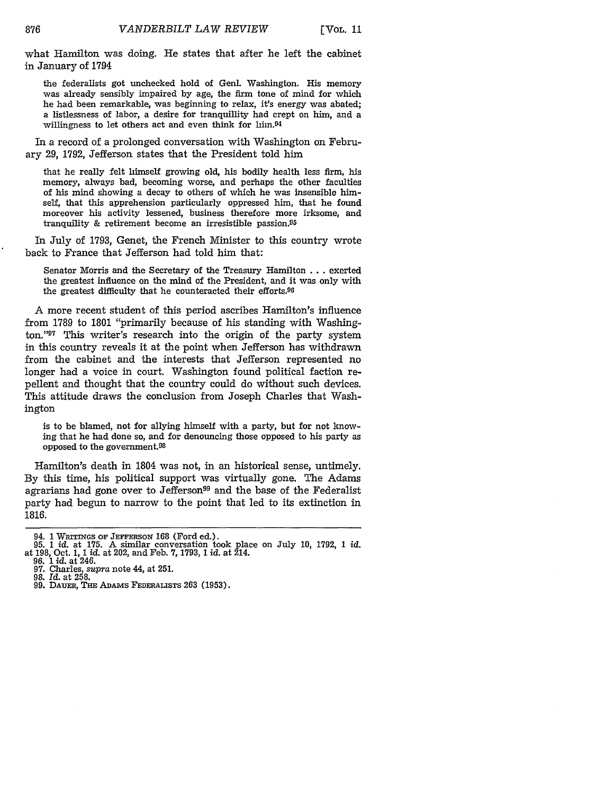what Hamilton was doing. He states that after he left the cabinet in January of 1794

the federalists got unchecked hold of Genl. Washington. His memory was already sensibly impaired by age, the firm tone of mind for which he had been remarkable, was beginning to relax, it's energy was abated; a listlessness of labor, a desire for tranquillity had crept on him, and a willingness to let others act and even think for  $lim.94$ 

In a record of a prolonged conversation with Washington on February 29, 1792, Jefferson states that the President told him

that he really felt himself growing old, his bodily health less firm, his memory, always bad, becoming worse, and perhaps the other faculties of his mind showing a decay to others of which he was insensible himself, that this apprehension particularly oppressed him, that he found moreover his activity lessened, business therefore more irksome, and tranquility & retirement become an irresistible passion.<sup>95</sup>

In July of 1793, Genet, the French Minister to this country wrote back to France that Jefferson had told him that:

Senator Morris and the Secretary of the Treasury Hamilton . . . exerted the greatest influence on the mind of the President, and it was only with the greatest difficulty that he counteracted their efforts.96

**A** more recent student of this period ascribes Hamilton's influence from 1789 to 1801 "primarily because of his standing with Washington."97 This writer's research into the origin of the party system in this country reveals it at the point when Jefferson has withdrawn from the cabinet and the interests that Jefferson represented no longer had a voice in court. Washington found political faction repellent and thought that the country could do without such devices. This attitude draws the conclusion from Joseph Charles that Washington

is to be blamed, not for allying himself with a party, but for not knowing that he had done so, and for denouncing those opposed to his party as opposed to the government.<sup>98</sup>

Hamilton's death in 1804 was not, in an historical sense, untimely. By this time, his political support was virtually gone. The Adams agrarians had gone over to Jefferson<sup>99</sup> and the base of the Federalist party had begun to narrow to the point that led to its extinction in 1816.

<sup>94.</sup> **1** WRTn NGs **OF JEFFERSON** 168 (Ford ed.). 95. 1 id. at **175.** A similar conversation took place on July 10, 1792, 1 id. at 198, Oct. **1, 1** *id.* at 202, and Feb. 7, 1793, 1 *id.* at 214.

<sup>96. 1</sup> id. at 246. 97. Charles, *supra* note 44, at **251.**

<sup>98.</sup> *Id.* at 258.

<sup>99.</sup> DAUER, **THE** ADAMS FEDERALISTS **263 (1953).**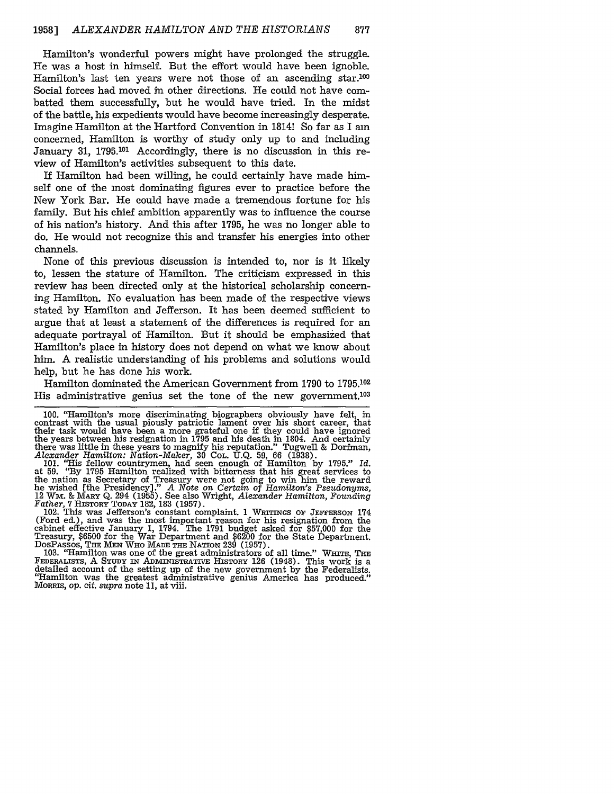Hamilton's wonderful powers might have prolonged the struggle. He was a host in himself. But the effort would have been ignoble. Hamilton's last ten years were not those of an ascending star.<sup>100</sup> Social forces had moved in other directions. He could not have combatted them successfully, but he would have tried. In the midst of the battle, his expedients would have become increasingly desperate. Imagine Hamilton at the Hartford Convention in 1814! So far as I am concerned, Hamilton is worthy of study only up to and including January 31, **1795.101** Accordingly, there is no discussion in this review of Hamilton's activities subsequent to this date.

If Hamilton had been willing, he could certainly have made himself one of the most dominating figures ever to practice before the New York Bar. He could have made a tremendous fortune for his family. But his chief ambition apparently was to influence the course of his nation's history. And this after 1795, he was no longer able to do. He would not recognize this and transfer his energies into other channels.

None of this previous discussion is intended to, nor is it likely to, lessen the stature of Hamilton. The criticism expressed in this review has been directed only at the historical scholarship concerning Hamilton. No evaluation has been made of the respective views stated by Hamilton and Jefferson. It has been deemed sufficient to argue that at least a statement of the differences is required for an adequate portrayal of Hamilton. But it should be emphasized that Hamilton's place in history does not depend on what we know about him. A realistic understanding of his problems and solutions would help, but he has done his work.

Hamilton dominated the American Government from 1790 to **1795.102** His administrative genius set the tone of the new government.103

the nation as Secretary of Treasury were not going to win him the reward<br>he wished [the Presidency]." A Note on Certain of Hamilton's Pseudonyms,<br>12 WM. & MARY Q. 294 (1955). See also Wright, Alexander Hamilton, Founding<br>F

102. This was Jefferson's constant complaint. 1 WRITINGs **oF** JEFFERSON 174 (Ford ed.), and was the most important reason for his resignation from the cabinet effective January 1, 1794. The 1791 budget asked for \$57,000 for the Treasury, \$6500 for the War Department and \$6200 for the State Department. DosPAssos, THE **MEN WHO MADE THE** NATION 239 (1957). 103. "Hamilton was one of the great administrators of all time." **WHITE, THE**

FEDERALISTS, A **STUDY** IN ADINISTRATIVE HISTORY 126 (1948). This work is a detailed account of the setting up of the new government by the Federalists. "Hamilton was the greatest administrative genius America has produced." MORRIS, *op. cit. supra* note 11, at viii.

<sup>100. &</sup>quot;Hamilton's more discriminating biographers obviously have felt, in contrast with the usual piously patriotic lament over his short career, that their task would have been a more grateful one if they could have ignored<br>the years between his resignation in 1795 and his death in 1804. And certainly<br>there was little in these years to magnify his reputation." Tugwell &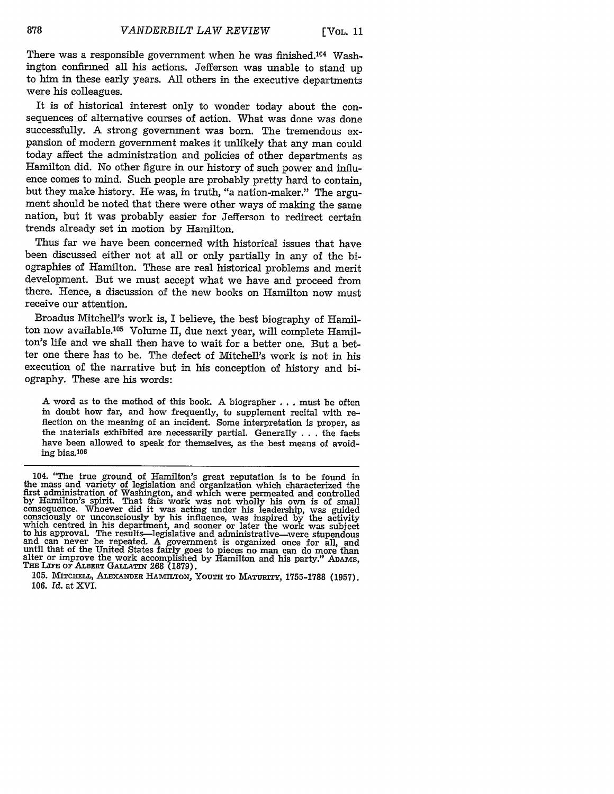[VOL. **11**

There was a responsible government when he was finished.<sup>104</sup> Washington confirmed all his actions. Jefferson was unable to stand up to him in these early years. All others in the executive departments were his colleagues.

It is of historical interest only to wonder today about the consequences of alternative courses of action. What was done was done successfully. A strong government was born. The tremendous expansion of modern government makes it unlikely that any man could today affect the administration and policies of other departments as Hamilton did. No other figure in our history of such power and influence comes to mind. Such people are probably pretty hard to contain, but they make history. He was, in truth, "a nation-maker." The argument should be noted that there were other ways of making the same nation, but it was probably easier for Jefferson to redirect certain trends already set in motion by Hamilton.

Thus far we have been concerned with historical issues that have been discussed either not at all or only partially in any of the biographies of Hamilton. These are real historical problems and merit development. But we must accept what we have and proceed from there. Hence, a discussion of the new books on Hamilton now must receive our attention.

Broadus Mitchell's work is, I believe, the best biography of Hamilton now available.<sup>105</sup> Volume II, due next year, will complete Hamilton's life and we shall then have to wait for a better one. But a better one there has to be. The defect of Mitchell's work is not in his execution of the narrative but in his conception of history and biography. These are his words:

A word as to the method of this book. A biographer  $\dots$  must be often in doubt how far, and how frequently, to supplement recital with reflection on the meaning of an incident. Some interpretation is proper, as the materials exhibited are necessarily partial. Generally . . . the facts have been allowed to speak for themselves, as the best means of avoiding bias.106

<sup>104. &</sup>quot;The true ground of Hamilton's great reputation is to be found in<br>the mass and variety of legislation and organization which characterized the<br>first administration of Washington, and which were permeated and controlle by Hamilton's spirit. That this work was not wholly his own is of small<br>consequence. Whoever did it was acting under his leadership, was guided<br>consciously or unconsciously by his influence, was inspired by the activity<br>wh

<sup>105.</sup> MITCHELL, **ALEXANDER** *HAMILTON,* **YOUTH** TO MATURITY, 1755-1788 **(1957). 106.** *Id.* at XVI.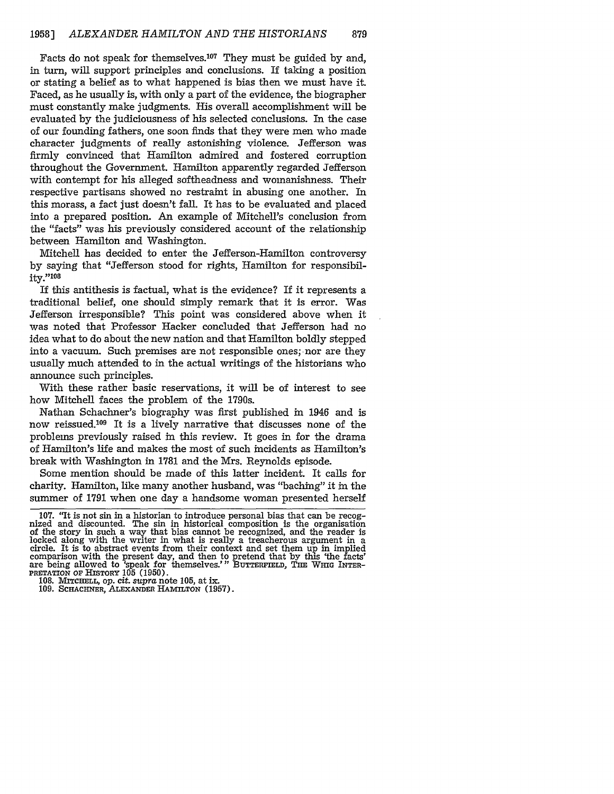Facts do not speak for themselves.<sup>107</sup> They must be guided by and, in turn, will support principles and conclusions. If taking a position or stating a belief as to what happened is bias then we must have it. Faced, as he usually is, with only a part of the evidence, the biographer must constantly make judgments. His overall accomplishment will be evaluated by the judiciousness of his selected conclusions. In the case of our founding fathers, one soon finds that they were men who made character judgments of really astonishing violence. Jefferson was firmly convinced that Hamilton admired and fostered corruption throughout the Government. Hamilton apparently regarded Jefferson with contempt for his alleged softheadness and womanishness. Their respective partisans showed no restraint in abusing one another. In this morass, a fact just doesn't fall. It has to be evaluated and placed into a prepared position. An example of Mitchell's conclusion from the "facts" was his previously considered account of the relationship between Hamilton and Washington.

Mitchell has decided to enter the Jefferson-Hamilton controversy by saying that "Jefferson stood for rights, Hamilton for responsibility."108

If this antithesis is factual, what is the evidence? If it represents a traditional belief, one should simply remark that it is error. Was Jefferson irresponsible? This point was considered above when it was noted that Professor Hacker concluded that Jefferson had no idea what to do about the new nation and that Hamilton boldly stepped into a vacuum. Such premises are not responsible ones; nor are they usually much attended to in the actual writings of the historians who announce such principles.

With these rather basic reservations, it will be of interest to see how Mitchell faces the problem of the 1790s.

Nathan Schachner's biography was first published in 1946 and is now reissued.<sup>109</sup> It is a lively narrative that discusses none of the problems previously raised in this review. It goes in for the drama of Hamilton's life and makes the most of such incidents as Hamilton's break with Washington in 1781 and the Mrs. Reynolds episode.

Some mention should be made of this latter incident. It calls for charity. Hamilton, like many another husband, was "baching" it in the summer of 1791 when one day a handsome woman presented herself

<sup>107. &</sup>quot;It is not sin in a historian to introduce personal bias that can be recognized and discounted. The sin in historical composition is the organisation of the story in such a way that bias cannot be recognized, and the locked along with the writer in what is really a treacherous argument in a circle. It is to abstract events from their context and set them up in implied comparison with the present day, and then to pretend that by this 'the facts' are being allowed to 'speak for themselves.'" BUTTERFIELD, THE WHIG INTER-PRETATION OF HISTORY 105 (1950).

**<sup>108.</sup> MITCHELL,** *op.* cit. *supra* note 105, at **ix.**

<sup>109.</sup> **SCHACHNER,** ALEXANDER **HAMLnTON** (1957).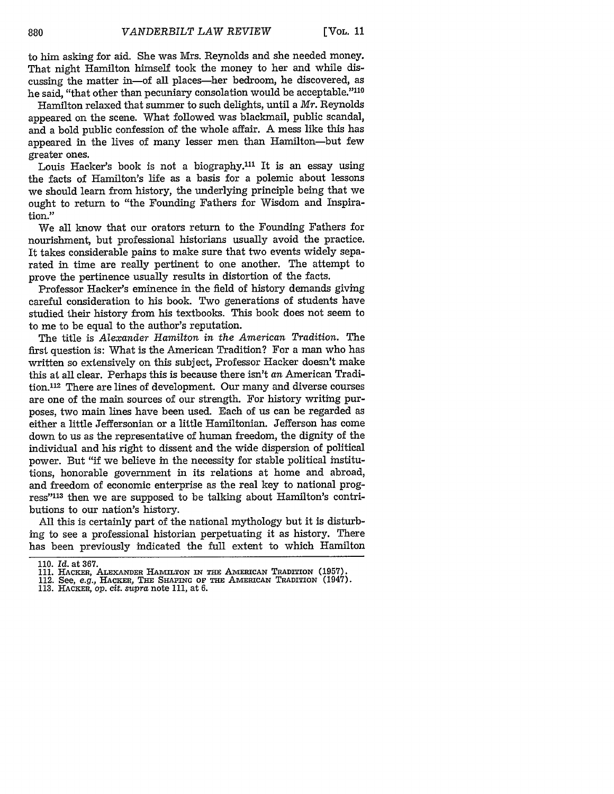to him asking for aid. She was Mrs. Reynolds and she needed money. That night Hamilton himself took the money to her and while discussing the matter in-of all places-her bedroom, he discovered, as he said, "that other than pecuniary consolation would be acceptable."<sup>110</sup>

Hamilton relaxed that summer to such delights, until a *Mr.* Reynolds appeared on the scene. What followed was blackmail, public scandal, and a bold public confession of the whole affair. A mess like this has appeared in the lives of many lesser men than Hamilton-but few greater ones.

Louis Hacker's book is not a biography.<sup>111</sup> It is an essay using the facts of Hamilton's life as a basis for a polemic about lessons we should learn from history, the underlying principle being that we ought to return to "the Founding Fathers for Wisdom and Inspiration."

We all know that our orators return to the Founding Fathers for nourishment, but professional historians usually avoid the practice. It takes considerable pains to make sure that two events widely separated in time are really pertinent to one another. The attempt to prove the pertinence usually results in distortion of the facts.

Professor Hacker's eminence in the field of history demands giving careful consideration to his book. Two generations of students have studied their history from his textbooks. This book does not seem to to me to be equal to the author's reputation.

The title is *Alexander Hamilton in the American Tradition.* The first question is: What is the American Tradition? For a man who has written so extensively on this subject, Professor Hacker doesn't make this at all clear. Perhaps this is because there isn't *an* American Tradition.112 There are lines of development. Our many and diverse courses are one of the main sources of our strength. For history writing purposes, two main lines have been used. Each of us can be regarded as either a little Jeffersonian or a little Hamiltonian. Jefferson has come down to us as the representative of human freedom, the dignity of the individual and his right to dissent and the wide dispersion of political power. But "if we believe in the necessity for stable political institutions, honorable government in its relations at home and abroad, and freedom of economic enterprise as the real key to national progress" 113 then we are supposed to be talking about Hamilton's contributions to our nation's history.

All this is certainly part of the national mythology but it is disturbing to see a professional historian perpetuating it as history. There has been previously indicated the full extent to which Hamilton

- **112. See,** *e.g.,* **HACKER, THE** SnAPiNG **OF THE** AMERICAN **TRADITION (1947).**
- **113. HACKER, op. cit.** *supra* **note 111, at 6.**

**<sup>110.</sup>** *Id.* at **367.**

**<sup>111.</sup>** HACKER, **ALEXANDER HAMILTON** *IN* **THE** AMERICAN TRADITION **(1957).**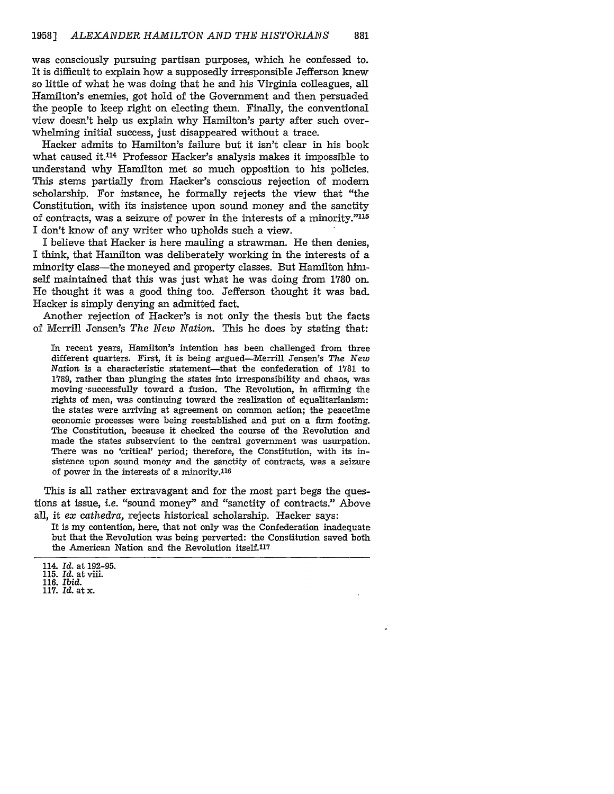was consciously pursuing partisan purposes, which he confessed to. It is difficult to explain how a supposedly irresponsible Jefferson knew so little of what he was doing that he and his Virginia colleagues, all Hamilton's enemies, got hold of the Government and then persuaded the people to keep right on electing them. Finally, the conventional view doesn't help us explain why Hamilton's party after such overwhelming initial success, just disappeared without a trace.

Hacker admits to Hamilton's failure but it isn't clear in his book what caused it.<sup>114</sup> Professor Hacker's analysis makes it impossible to understand why Hamilton met so much opposition to his policies. This stems partially from Hacker's conscious rejection of modern scholarship. For instance, he formally rejects the view that "the Constitution, with its insistence upon sound money and the sanctity of contracts, was a seizure of power in the interests of a minority."115 I don't know of any writer who upholds such a view.

I believe that Hacker is here mauling a strawman. He then denies, I think, that Hamilton was deliberately working in the interests of a minority class-the moneyed and property classes. But Hamilton himself maintained that this was just what he was doing from 1780 on. He thought it was a good thing too. Jefferson thought it was bad. Hacker is simply denying an admitted fact.

Another rejection of Hacker's is not only the thesis but the facts of Merrill Jensen's *The New Nation.* This he does by stating that:

In recent years, Hamilton's intention has been challenged from three different quarters. First, it is being argued-Merrill Jensen's *The New Nation* is a characteristic statement-that the confederation of 1781 to 1789, rather than plunging the states into irresponsibility and chaos, was moving -successfully toward a fusion. The Revolution, in affirming the rights of men, was continuing toward the realization of equalitarianism: the states were arriving at agreement on common action; the peacetime economic processes were being reestablished and put on a firm footing. The Constitution, because it checked the course of the Revolution and made the states subservient to the central government was usurpation. There was no 'critical' period; therefore, the Constitution, with its insistence upon sound money and the sanctity of contracts, was a seizure of power in the interests of a minority.<sup>116</sup>

This is all rather extravagant and for the most part begs the questions at issue, i.e. "sound money" and "sanctity of contracts." Above all, it *ex cathedra,* rejects historical scholarship. Hacker says:

It is my contention, here, that not only was the Confederation inadequate but that the Revolution was being perverted: the Constitution saved both the American Nation and the Revolution itself.<sup>117</sup>

<sup>114.</sup> *Id.* at 192-95.

<sup>115.</sup> Id. at viii.

<sup>116.</sup> *Ibid.*

<sup>117.</sup> Id. at x.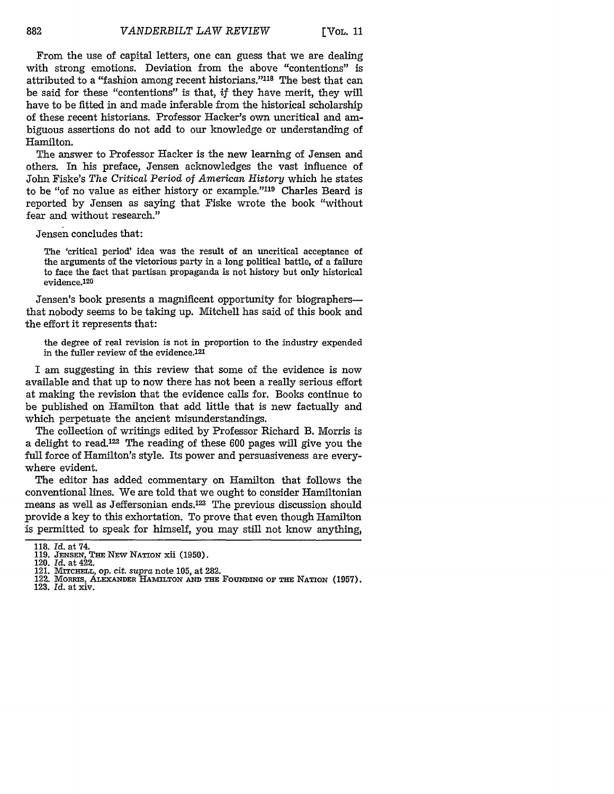From the use of capital letters, one can guess that we are dealing with strong emotions. Deviation from the above "contentions" is attributed to a "fashion among recent historians."<sup>118</sup> The best that can be said for these "contentions" is that, *if* they have merit, they will have to be fitted in and made inferable from the historical scholarship of these recent historians. Professor Hacker's own uncritical and ambiguous assertions do not add to our knowledge or understanding of Hamilton.

The answer to Professor Hacker is the new learning of Jensen and others. In his preface, Jensen acknowledges the vast influence of John Fiske's *The Critical Period* of *American History* which he states to be "of no value as either history or example."<sup>119</sup> Charles Beard is reported by Jensen as saying that Fiske wrote the book "without fear and without research."

Jensen concludes that:

The 'critical period' idea was the result of an uncritical acceptance of the arguments of the victorious party in a long political battle, of a failure to face the fact that partisan propaganda is not history but only historical evidence.120

Jensen's book presents a magnificent opportunity for biographersthat nobody seems to be taking up. Mitchell has said of this book and the effort it represents that:

the degree of real revision is not in proportion to the industry expended in the fuller review of the evidence.121

I am suggesting in this review that some of the evidence is now available and that up to now there has not been a really serious effort at making the revision that the evidence calls for. Books continue to be published on Hamilton that add little that is new factually and which perpetuate the ancient misunderstandings.

The collection of writings edited by Professor Richard B. Morris is a delight to read.<sup>122</sup> The reading of these 600 pages will give you the full force of Hamilton's style. Its power and persuasiveness are everywhere evident.

The editor has added commentary on Hamilton that follows the conventional lines. We are told that we ought to consider Hamiltonian means as well as Jeffersonian ends.123 The previous discussion should provide a key to this exhortation. To prove that even though Hamilton is permitted to speak for himself, you may still not know anything,

<sup>118.</sup> *Id.* at 74.

**<sup>119.</sup> JENSEN, THE NEW NATION** xii **(1950).** 120. *Id.* at 422.

<sup>121.</sup> MiTcHELL, op. *cit. supra* note 105, at 282.

<sup>122.</sup> **MORRIS, ALEXANDER HAMILTON AND THE FOUNDING OF THE NATION (1957).** 123. Id. at xiv.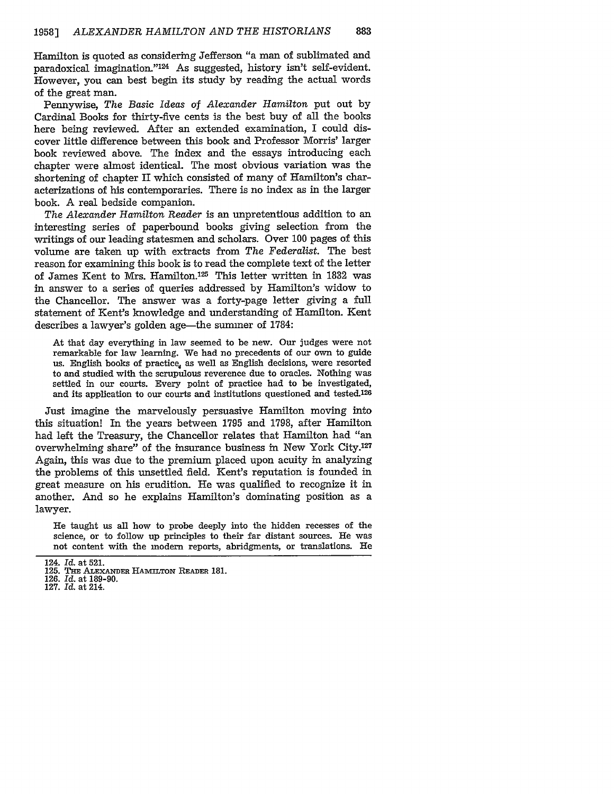Hamilton is quoted as considering Jefferson "a man of sublimated and paradoxical imagination."<sup>124</sup> As suggested, history isn't self-evident. However, you can best begin its study by reading the actual words of the great man.

Pennywise, *The Basic Ideas of Alexander Hamilton* put out by Cardinal Books for thirty-five cents is the best buy of all the books here being reviewed. After an extended examination, I could discover little difference between this book and Professor Morris' larger book reviewed above. The index and the essays introducing each chapter were almost identical. The most obvious variation was the shortening of chapter II which consisted of many of Hamilton's characterizations of his contemporaries. There is no index as in the larger book. A real bedside companion.

*The Alexander Hamilton Reader* is an unpretentious addition to an interesting series of paperbound books giving selection from the writings of our leading statesmen and scholars. Over 100 pages of this volume are taken up with extracts from *The Federalist.* The best reason for examining this book is to read the complete text of the letter of James Kent to Mrs. Hamilton. 25 This letter written in **1832** was in answer to a series of queries addressed by Hamilton's widow to the Chancellor. The answer was a forty-page letter giving a full statement of Kent's knowledge and understanding of Hamilton. Kent describes a lawyer's golden age—the summer of 1784:

At that day everything in law seemed to be new. Our judges were not remarkable for law learning. We had no precedents of our own to guide us. English books of practice, as well as English decisions, were resorted to and studied with the scrupulous reverence due to oracles. Nothing was settled in our courts. Every point of practice had to be investigated, and its application to our courts and institutions questioned and tested.<sup>126</sup>

Just imagine the marvelously persuasive Hamilton moving into this situation! In the years between 1795 and 1798, after Hamilton had left the Treasury, the Chancellor relates that Hamilton had "an overwhelming share" of the insurance business in New York City.<sup>127</sup> Again, this was due to the premium placed upon acuity in analyzing the problems of this unsettled field. Kent's reputation is founded in great measure on his erudition. He was qualified to recognize it in another. And so he explains Hamilton's dominating position as a lawyer.

He taught us all how to probe deeply into the hidden recesses of the science, or to follow up principles to their far distant sources. He was not content with the modern reports, abridgments, or translations. He

<sup>124.</sup> *Id.* at 521.

**<sup>125.</sup> THE ALEXANDER HAMILTON READER 181.**

<sup>126.</sup> *Id.* at 189-90.

<sup>127.</sup> Id. at 214.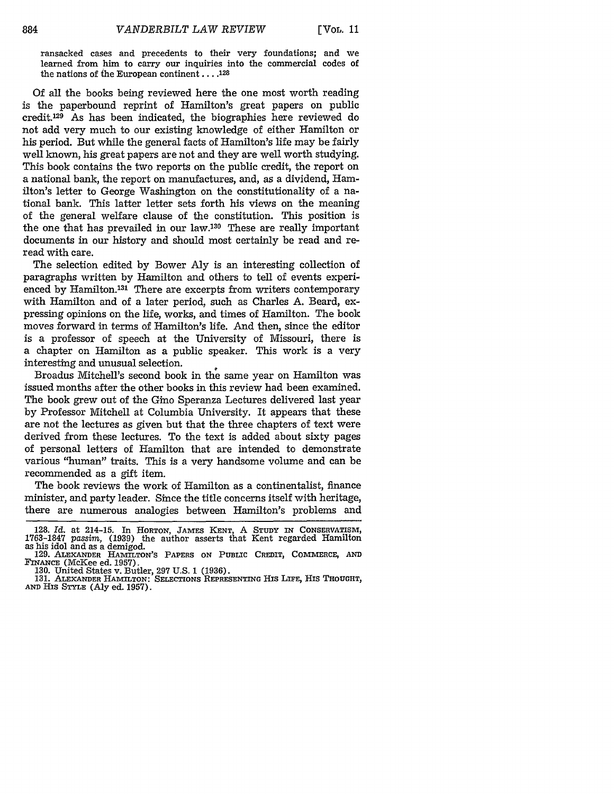ransacked cases and precedents to their very foundations; and we learned from him to carry our inquiries into the commercial codes of the nations of *the* European continent **.... 128**

Of all the books being reviewed here the one most worth reading is the paperbound reprint of Hamilton's great papers on public credit. 129 As has been indicated, the biographies here reviewed do not add very much to our existing knowledge of either Hamilton or his period. But while the general facts of Hamilton's life may be fairly well known, his great papers are not and they are well worth studying. This book contains the two reports on the public credit, the report on a national bank, the report on manufactures, and, as a dividend, Hamilton's letter to George Washington on the constitutionality of a national bank. This latter letter sets forth his views on the meaning of the general welfare clause of the constitution. This position is the one that has prevailed in our law.130 These are really important documents in our history and should most certainly be read and reread with care.

The selection edited by Bower Aly is an interesting collection of paragraphs written by Hamilton and others to tell of events experienced by Hamilton.131 There are excerpts from writers contemporary with Hamilton and of a later period, such as Charles A. Beard, expressing opinions on the life, works, and times of Hamilton. The book moves forward in terms of Hamilton's life. And then, since the editor is a professor of speech at the University of Missouri, there is a chapter on Hamilton as a public speaker. This work is a very interesting and unusual selection.

Broadus Mitchell's second book in the same year on Hamilton was issued months after the other books in this review had been examined. The book grew out of the Gino Speranza Lectures delivered last year by Professor Mitchell at Columbia University. It appears that these are not the lectures as given but that the three chapters of text were derived from these lectures. To the text is added about sixty pages of personal letters of Hamilton that are intended to demonstrate various "human" traits. This is a very handsome volume and can be recommended as a gift item.

The book reviews the work of Hamilton as a continentalist, finance minister, and party leader. Since the title concerns itself with heritage, there are numerous analogies between Hamilton's problems and

<sup>128.</sup> *Id.* at 214-15. In HORTON, JAMES **KENT,** A **STUDY** IN **CONSERVATISM,** 1763-1847 *passim, (1939)* the author asserts that Kent regarded Hamilton as his idol and as a demigod.<br>as his idol and as a demigod. 129. ALEXANDER HAMILTON'S PAPERS ON PUBLIC CREDIT, COMMERCE, AND

**FINANCE** (McKee ed. 1957). 130. United States v. Butler, 297 U.S. 1 (1936). **131.** ALEXANDER HAMILTON: **SELECTIONS REPRESENTING** HIS LIFE, HIS **THOUGHT,**

**AND** His **STYLE** (Aly ed. 1957).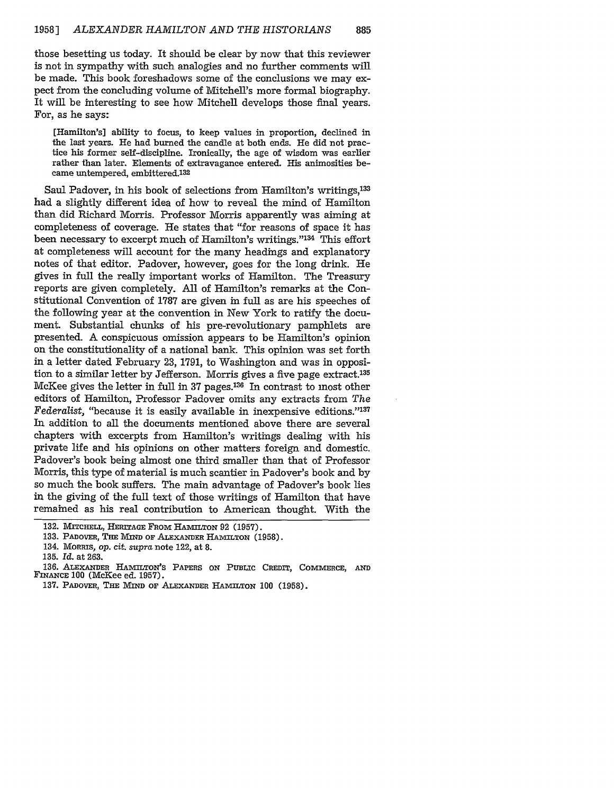those besetting us today. It should be clear by now that this reviewer is not in sympathy with such analogies and no further comments will be made. This book foreshadows some of the conclusions we may expect from the concluding volume of Mitchell's more formal biography. It will be interesting to see how Mitchell develops those final years. For, as he says:

[Hamilton's] ability to focus, to keep values in proportion, declined in the last years. He had burned the candle at both ends. He did not practice his former self-discipline. Ironically, the age of wisdom was earlier rather than later. Elements of extravagance entered. His animosities became untempered, embittered.132

Saul Padover, in his book of selections from Hamilton's writings,<sup>133</sup> had a slightly different idea of how to reveal the mind of Hamilton than did Richard Morris. Professor Morris apparently was aiming at completeness of coverage. He states that "for reasons of space it has been necessary to excerpt much of Hamilton's writings."<sup>134</sup> This effort at completeness will account for the many headings and explanatory notes of that editor. Padover, however, goes for the long drink. He gives in full the really important works of Hamilton. The Treasury reports are given completely. All of Hamilton's remarks at the Constitutional Convention of 1787 are given in full as are his speeches of the following year at the convention in New York to ratify the document. Substantial chunks of his pre-revolutionary pamphlets are presented. A conspicuous omission appears to be Hamilton's opinion on the constitutionality of a national bank. This opinion was set forth in a letter dated February 23, **1791,** to Washington and was in opposition to a similar letter by Jefferson. Morris gives a five page extract.<sup>135</sup> McKee gives the letter in full in 37 pages.<sup>136</sup> In contrast to most other editors of Hamilton, Professor Padover omits any extracts from *The Federalist,* "because it is easily available in inexpensive editions."'137 In addition to all the documents mentioned above there are several chapters with excerpts from Hamilton's writings dealing with his private life and his opinions on other matters foreign and domestic. Padover's book being almost one third smaller than that of Professor Morris, this type of material is much scantier in Padover's book and by so much the book suffers. The main advantage of Padover's book lies in the giving of the full text of those writings of Hamilton that have remained as his real contribution to American thought. With the

**<sup>132.</sup> MITcHELL, HERITAGE FROM HAMILTON 92 (1957).**

**<sup>133.</sup>** PADOVER, **THE MIND OF ALEXANDER HAMILTON (1958).**

**<sup>134.</sup> MORRIS, op.** *cit.* supra **note 122,** at **8.**

**<sup>135.</sup>** *Id.* **at 263.**

**<sup>136.</sup> ALEXANDER HAMILTON'S PAPERS ON PUBLIC CREDIT, COMMERCE, AND FINANCE 100 (McKee ed. 1957).**

**<sup>137.</sup> PADOVER, THE MIND OF ALEXANDER HAMILTON 100 (1958).**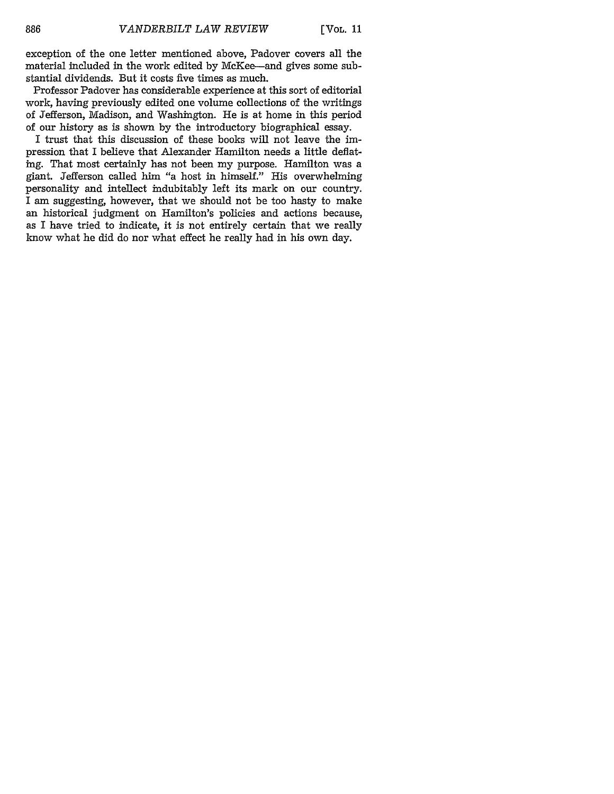exception of the one letter mentioned above, Padover covers all the material included in the work edited by McKee-and gives some substantial dividends. But it costs five times as much.

Professor Padover has considerable experience at this sort of editorial work, having previously edited one volume collections of the writings of Jefferson, Madison, and Washington. He is at home in this period of our history as is shown by the introductory biographical essay.

I trust that this discussion of these books will not leave the impression that I believe that Alexander Hamilton needs a little deflating. That most certainly has not been my purpose. Hamilton was a giant. Jefferson called him "a host in himself." His overwhelming personality and intellect indubitably left its mark on our country. I am suggesting, however, that we should not be too hasty to make an historical judgment on Hamilton's policies and actions because, as I have tried to indicate, it is not entirely certain that we really know what he did do nor what effect he really had in his own day.